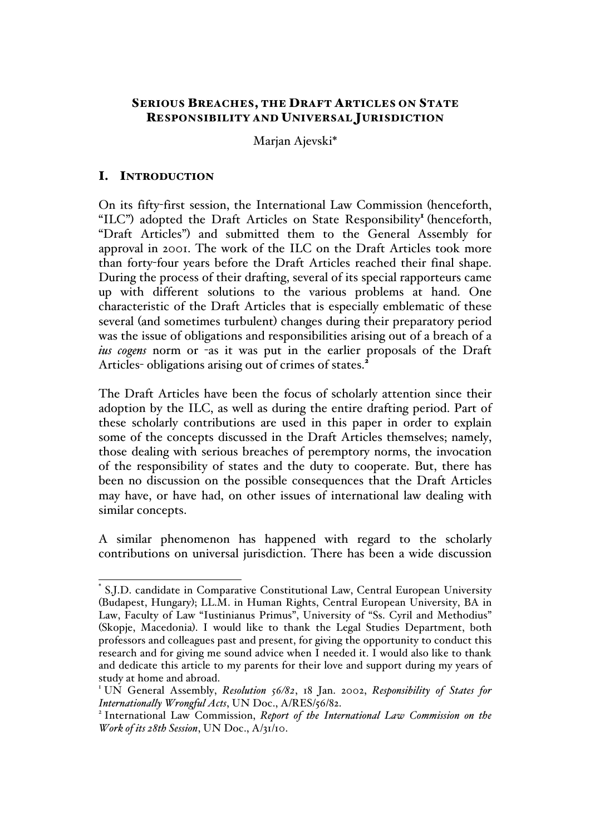# SERIOUS BREACHES, THE DRAFT ARTICLES ON STATE RESPONSIBILITY AND UNIVERSAL JURISDICTION

Marjan Ajevski\*

# I. INTRODUCTION

On its fifty-first session, the International Law Commission (henceforth, "ILC") adopted the Draft Articles on State Responsibility<sup>I</sup> (henceforth, "Draft Articles") and submitted them to the General Assembly for approval in 2001. The work of the ILC on the Draft Articles took more than forty-four years before the Draft Articles reached their final shape. During the process of their drafting, several of its special rapporteurs came up with different solutions to the various problems at hand. One characteristic of the Draft Articles that is especially emblematic of these several (and sometimes turbulent) changes during their preparatory period was the issue of obligations and responsibilities arising out of a breach of a *ius cogens* norm or -as it was put in the earlier proposals of the Draft Articles- obligations arising out of crimes of states.<sup>2</sup>

The Draft Articles have been the focus of scholarly attention since their adoption by the ILC, as well as during the entire drafting period. Part of these scholarly contributions are used in this paper in order to explain some of the concepts discussed in the Draft Articles themselves; namely, those dealing with serious breaches of peremptory norms, the invocation of the responsibility of states and the duty to cooperate. But, there has been no discussion on the possible consequences that the Draft Articles may have, or have had, on other issues of international law dealing with similar concepts.

A similar phenomenon has happened with regard to the scholarly contributions on universal jurisdiction. There has been a wide discussion

S.J.D. candidate in Comparative Constitutional Law, Central European University (Budapest, Hungary); LL.M. in Human Rights, Central European University, BA in Law, Faculty of Law "Iustinianus Primus", University of "Ss. Cyril and Methodius" (Skopje, Macedonia). I would like to thank the Legal Studies Department, both professors and colleagues past and present, for giving the opportunity to conduct this research and for giving me sound advice when I needed it. I would also like to thank and dedicate this article to my parents for their love and support during my years of study at home and abroad.

<sup>&</sup>lt;sup>1</sup> UN General Assembly, *Resolution 56/82*, 18 Jan. 2002, *Responsibility of States for Internationally Wrongful Acts*, UN Doc., A/RES/56/82.

<sup>&</sup>lt;sup>2</sup> International Law Commission, Report of the International Law Commission on the *Work of its 28th Session*, UN Doc., A/31/10.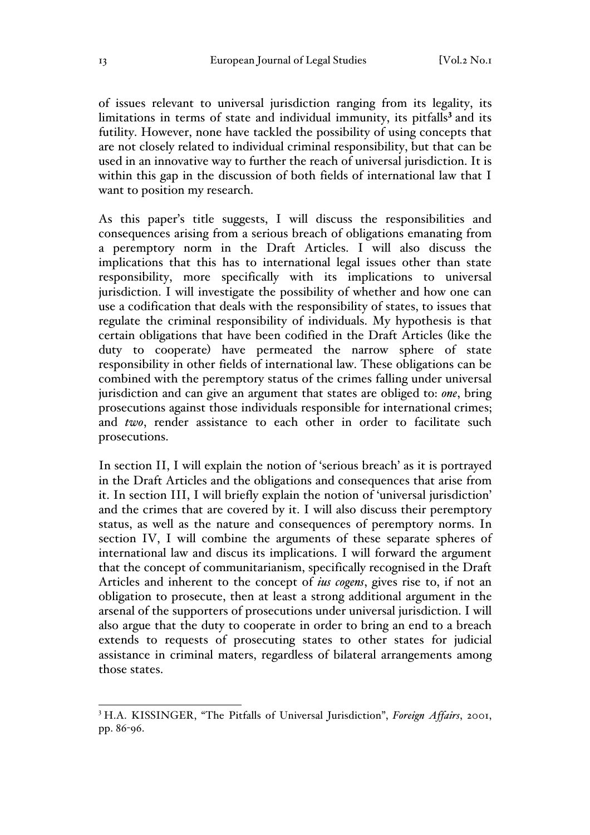of issues relevant to universal jurisdiction ranging from its legality, its limitations in terms of state and individual immunity, its pitfalls<sup>3</sup> and its futility. However, none have tackled the possibility of using concepts that are not closely related to individual criminal responsibility, but that can be used in an innovative way to further the reach of universal jurisdiction. It is within this gap in the discussion of both fields of international law that I want to position my research.

As this paper's title suggests, I will discuss the responsibilities and consequences arising from a serious breach of obligations emanating from a peremptory norm in the Draft Articles. I will also discuss the implications that this has to international legal issues other than state responsibility, more specifically with its implications to universal jurisdiction. I will investigate the possibility of whether and how one can use a codification that deals with the responsibility of states, to issues that regulate the criminal responsibility of individuals. My hypothesis is that certain obligations that have been codified in the Draft Articles (like the duty to cooperate) have permeated the narrow sphere of state responsibility in other fields of international law. These obligations can be combined with the peremptory status of the crimes falling under universal jurisdiction and can give an argument that states are obliged to: *one*, bring prosecutions against those individuals responsible for international crimes; and *two*, render assistance to each other in order to facilitate such prosecutions.

In section II, I will explain the notion of 'serious breach' as it is portrayed in the Draft Articles and the obligations and consequences that arise from it. In section III, I will briefly explain the notion of 'universal jurisdiction' and the crimes that are covered by it. I will also discuss their peremptory status, as well as the nature and consequences of peremptory norms. In section IV, I will combine the arguments of these separate spheres of international law and discus its implications. I will forward the argument that the concept of communitarianism, specifically recognised in the Draft Articles and inherent to the concept of *ius cogens*, gives rise to, if not an obligation to prosecute, then at least a strong additional argument in the arsenal of the supporters of prosecutions under universal jurisdiction. I will also argue that the duty to cooperate in order to bring an end to a breach extends to requests of prosecuting states to other states for judicial assistance in criminal maters, regardless of bilateral arrangements among those states.

 <sup>3</sup> H.A. KISSINGER, "The Pitfalls of Universal Jurisdiction", *Foreign Affairs*, 2001, pp. 86-96.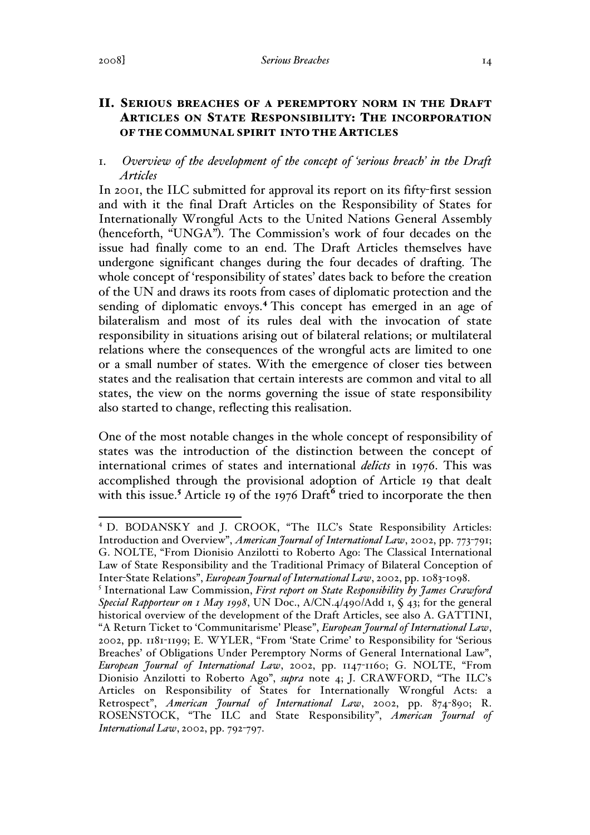# II. SERIOUS BREACHES OF A PEREMPTORY NORM IN THE DRAFT ARTICLES ON STATE RESPONSIBILITY: THE INCORPORATION OF THE COMMUNAL SPIRIT INTO THE ARTICLES

# 1. *Overview of the development of the concept of 'serious breach' in the Draft Articles*

In 2001, the ILC submitted for approval its report on its fifty-first session and with it the final Draft Articles on the Responsibility of States for Internationally Wrongful Acts to the United Nations General Assembly (henceforth, "UNGA"). The Commission's work of four decades on the issue had finally come to an end. The Draft Articles themselves have undergone significant changes during the four decades of drafting. The whole concept of 'responsibility of states' dates back to before the creation of the UN and draws its roots from cases of diplomatic protection and the sending of diplomatic envoys.<sup>4</sup> This concept has emerged in an age of bilateralism and most of its rules deal with the invocation of state responsibility in situations arising out of bilateral relations; or multilateral relations where the consequences of the wrongful acts are limited to one or a small number of states. With the emergence of closer ties between states and the realisation that certain interests are common and vital to all states, the view on the norms governing the issue of state responsibility also started to change, reflecting this realisation.

One of the most notable changes in the whole concept of responsibility of states was the introduction of the distinction between the concept of international crimes of states and international *delicts* in 1976. This was accomplished through the provisional adoption of Article 19 that dealt with this issue.<sup>5</sup> Article 19 of the 1976 Draft<sup>6</sup> tried to incorporate the then

 <sup>4</sup> D. BODANSKY and J. CROOK, "The ILC's State Responsibility Articles: Introduction and Overview", *American Journal of International Law*, 2002, pp. 773-791; G. NOLTE, "From Dionisio Anzilotti to Roberto Ago: The Classical International Law of State Responsibility and the Traditional Primacy of Bilateral Conception of Inter-State Relations", *European Journal of International Law*, 2002, pp. 1083-1098.

<sup>5</sup> International Law Commission, *First report on State Responsibility by James Crawford Special Rapporteur on 1 May 1998*, UN Doc., A/CN.4/490/Add 1, § 43; for the general historical overview of the development of the Draft Articles, see also A. GATTINI, "A Return Ticket to 'Communitarisme' Please", *European Journal of International Law*, 2002, pp. 1181-1199; E. WYLER, "From 'State Crime' to Responsibility for 'Serious Breaches' of Obligations Under Peremptory Norms of General International Law", *European Journal of International Law*, 2002, pp. 1147-1160; G. NOLTE, "From Dionisio Anzilotti to Roberto Ago", *supra* note 4; J. CRAWFORD, "The ILC's Articles on Responsibility of States for Internationally Wrongful Acts: a Retrospect", *American Journal of International Law*, 2002, pp. 874-890; R. ROSENSTOCK, "The ILC and State Responsibility", *American Journal of International Law*, 2002, pp. 792-797.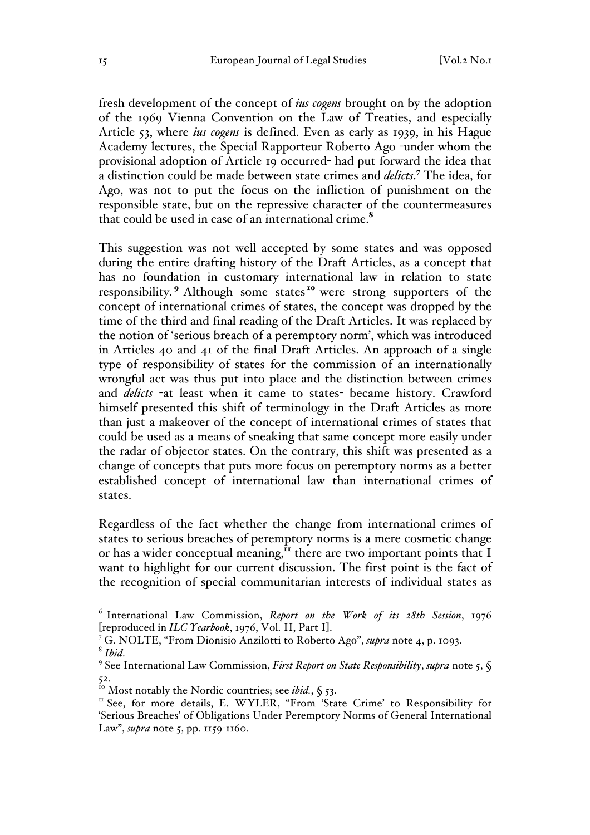fresh development of the concept of *ius cogens* brought on by the adoption of the 1969 Vienna Convention on the Law of Treaties, and especially Article 53, where *ius cogens* is defined. Even as early as 1939, in his Hague Academy lectures, the Special Rapporteur Roberto Ago -under whom the provisional adoption of Article 19 occurred- had put forward the idea that a distinction could be made between state crimes and *delicts*. <sup>7</sup> The idea, for Ago, was not to put the focus on the infliction of punishment on the responsible state, but on the repressive character of the countermeasures that could be used in case of an international crime.<sup>8</sup>

This suggestion was not well accepted by some states and was opposed during the entire drafting history of the Draft Articles, as a concept that has no foundation in customary international law in relation to state responsibility.<sup>9</sup> Although some states<sup>10</sup> were strong supporters of the concept of international crimes of states, the concept was dropped by the time of the third and final reading of the Draft Articles. It was replaced by the notion of 'serious breach of a peremptory norm', which was introduced in Articles 40 and 41 of the final Draft Articles. An approach of a single type of responsibility of states for the commission of an internationally wrongful act was thus put into place and the distinction between crimes and *delicts* -at least when it came to states- became history. Crawford himself presented this shift of terminology in the Draft Articles as more than just a makeover of the concept of international crimes of states that could be used as a means of sneaking that same concept more easily under the radar of objector states. On the contrary, this shift was presented as a change of concepts that puts more focus on peremptory norms as a better established concept of international law than international crimes of states.

Regardless of the fact whether the change from international crimes of states to serious breaches of peremptory norms is a mere cosmetic change or has a wider conceptual meaning,<sup>it</sup> there are two important points that I want to highlight for our current discussion. The first point is the fact of the recognition of special communitarian interests of individual states as

 <sup>6</sup> International Law Commission, *Report on the Work of its 28th Session*, 1976

<sup>[</sup>reproduced in *ILC Yearbook*, 1976, Vol. II, Part I]. 7 G. NOLTE, "From Dionisio Anzilotti to Roberto Ago", *supra* note 4, p. 1093.

<sup>&</sup>lt;sup>9</sup> See International Law Commission, *First Report on State Responsibility*, *supra* note 5,  $\oint$ 

<sup>&</sup>lt;sup>10</sup> Most notably the Nordic countries; see *ibid.*,  $\zeta$  53.

<sup>&</sup>lt;sup>11</sup> See, for more details, E. WYLER, "From 'State Crime' to Responsibility for 'Serious Breaches' of Obligations Under Peremptory Norms of General International Law", *supra* note 5, pp. 1159-1160.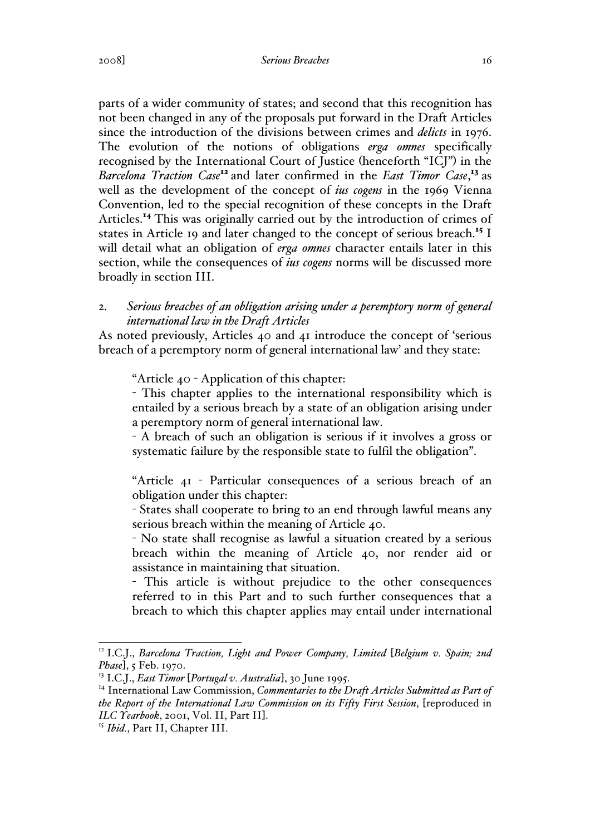#### 2008] *Serious Breaches* 16

parts of a wider community of states; and second that this recognition has not been changed in any of the proposals put forward in the Draft Articles since the introduction of the divisions between crimes and *delicts* in 1976. The evolution of the notions of obligations *erga omnes* specifically recognised by the International Court of Justice (henceforth "ICJ") in the *Barcelona Traction Case*<sup>12</sup> and later confirmed in the *East Timor Case*, <sup>13</sup> as well as the development of the concept of *ius cogens* in the 1969 Vienna Convention, led to the special recognition of these concepts in the Draft Articles.<sup>14</sup> This was originally carried out by the introduction of crimes of states in Article 19 and later changed to the concept of serious breach.<sup>15</sup> I will detail what an obligation of *erga omnes* character entails later in this section, while the consequences of *ius cogens* norms will be discussed more broadly in section III.

# 2. *Serious breaches of an obligation arising under a peremptory norm of general international law in the Draft Articles*

As noted previously, Articles 40 and 41 introduce the concept of 'serious breach of a peremptory norm of general international law' and they state:

"Article 40 - Application of this chapter:

- This chapter applies to the international responsibility which is entailed by a serious breach by a state of an obligation arising under a peremptory norm of general international law.

- A breach of such an obligation is serious if it involves a gross or systematic failure by the responsible state to fulfil the obligation".

"Article 41 - Particular consequences of a serious breach of an obligation under this chapter:

- States shall cooperate to bring to an end through lawful means any serious breach within the meaning of Article 40.

- No state shall recognise as lawful a situation created by a serious breach within the meaning of Article 40, nor render aid or assistance in maintaining that situation.

- This article is without prejudice to the other consequences referred to in this Part and to such further consequences that a breach to which this chapter applies may entail under international

<sup>&</sup>lt;sup>12</sup> I.C.J., *Barcelona Traction, Light and Power Company, Limited [Belgium v. Spain; 2nd Phase*], 5 Feb. 1970.

<sup>13</sup> I.C.J., *East Timor* [*Portugal v. Australia*], 30 June 1995.

<sup>14</sup> International Law Commission, *Commentaries to the Draft Articles Submitted as Part of the Report of the International Law Commission on its Fifty First Session*, [reproduced in *ILC Yearbook*, 2001, Vol. II, Part II]. 15 *Ibid.*, Part II, Chapter III.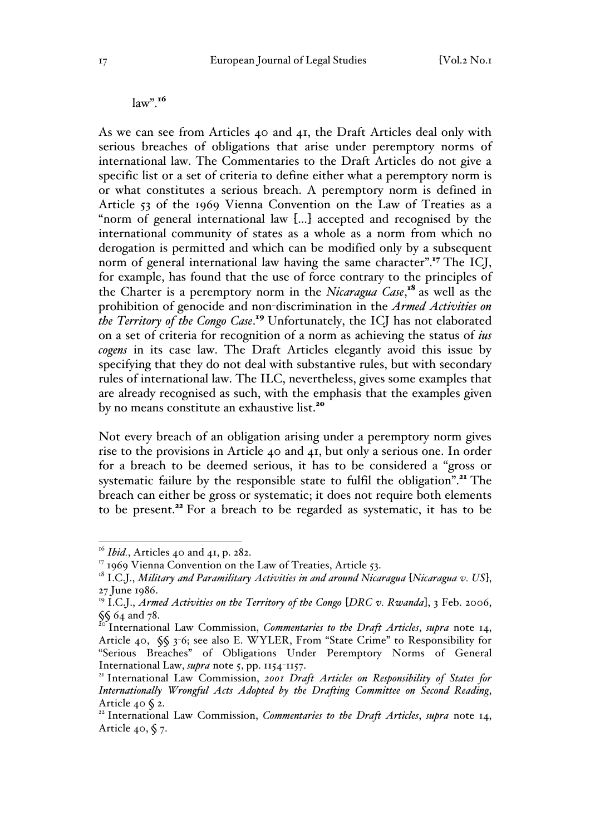$law$ ".<sup>16</sup>

As we can see from Articles 40 and 41, the Draft Articles deal only with serious breaches of obligations that arise under peremptory norms of international law. The Commentaries to the Draft Articles do not give a specific list or a set of criteria to define either what a peremptory norm is or what constitutes a serious breach. A peremptory norm is defined in Article 53 of the 1969 Vienna Convention on the Law of Treaties as a "norm of general international law […] accepted and recognised by the international community of states as a whole as a norm from which no derogation is permitted and which can be modified only by a subsequent norm of general international law having the same character".<sup>17</sup> The ICJ, for example, has found that the use of force contrary to the principles of the Charter is a peremptory norm in the *Nicaragua Case*, <sup>18</sup> as well as the prohibition of genocide and non-discrimination in the *Armed Activities on the Territory of the Congo Case*. <sup>19</sup> Unfortunately, the ICJ has not elaborated on a set of criteria for recognition of a norm as achieving the status of *ius cogens* in its case law. The Draft Articles elegantly avoid this issue by specifying that they do not deal with substantive rules, but with secondary rules of international law. The ILC, nevertheless, gives some examples that are already recognised as such, with the emphasis that the examples given by no means constitute an exhaustive list.<sup>20</sup>

Not every breach of an obligation arising under a peremptory norm gives rise to the provisions in Article 40 and 41, but only a serious one. In order for a breach to be deemed serious, it has to be considered a "gross or systematic failure by the responsible state to fulfil the obligation".<sup>21</sup> The breach can either be gross or systematic; it does not require both elements to be present.<sup>22</sup> For a breach to be regarded as systematic, it has to be

<sup>&</sup>lt;sup>16</sup> *Ibid.*, Articles 40 and 41, p. 282.

<sup>&</sup>lt;sup>17</sup> 1969 Vienna Convention on the Law of Treaties, Article 53.

<sup>18</sup> I.C.J., *Military and Paramilitary Activities in and around Nicaragua* [*Nicaragua v. US*], 27 June 1986.

<sup>19</sup> I.C.J., *Armed Activities on the Territory of the Congo* [*DRC v. Rwanda*], 3 Feb. 2006,  $\S\int_{20}$  64 and 78.

<sup>20</sup> International Law Commission, *Commentaries to the Draft Articles*, *supra* note 14, Article 40, §§ 3-6; see also E. WYLER, From "State Crime" to Responsibility for "Serious Breaches" of Obligations Under Peremptory Norms of General International Law, *supra* note 5, pp. 1154-1157.<br><sup>21</sup> International Law Commission, *2001 Draft Articles on Responsibility of States for* 

*Internationally Wrongful Acts Adopted by the Drafting Committee on Second Reading*, Article 40 § 2.

<sup>&</sup>lt;sup>22</sup> International Law Commission, *Commentaries to the Draft Articles*, *supra* note 14, Article 40,  $\sqrt{5}$  7.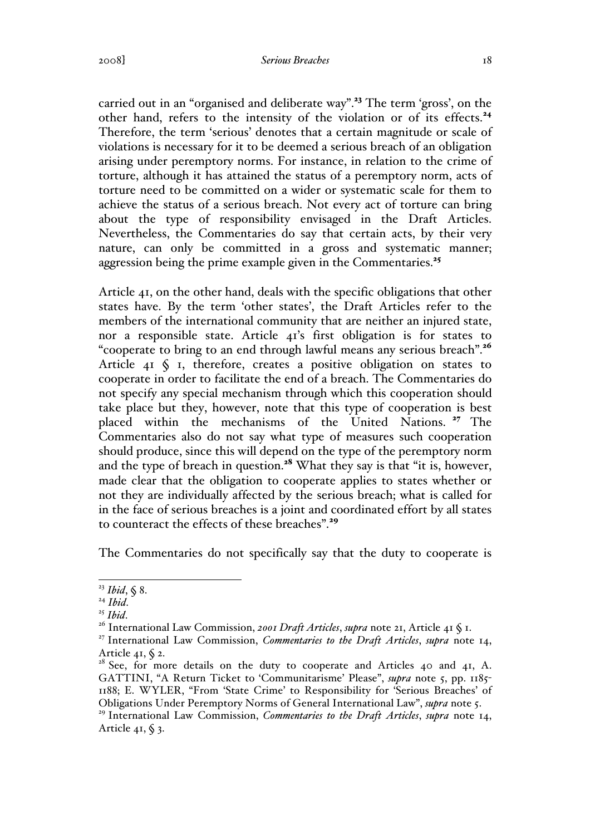#### 2008] *Serious Breaches* 18

carried out in an "organised and deliberate way".<sup>23</sup> The term 'gross', on the other hand, refers to the intensity of the violation or of its effects.<sup>24</sup> Therefore, the term 'serious' denotes that a certain magnitude or scale of violations is necessary for it to be deemed a serious breach of an obligation arising under peremptory norms. For instance, in relation to the crime of torture, although it has attained the status of a peremptory norm, acts of torture need to be committed on a wider or systematic scale for them to achieve the status of a serious breach. Not every act of torture can bring about the type of responsibility envisaged in the Draft Articles. Nevertheless, the Commentaries do say that certain acts, by their very nature, can only be committed in a gross and systematic manner; aggression being the prime example given in the Commentaries.<sup>25</sup>

Article 41, on the other hand, deals with the specific obligations that other states have. By the term 'other states', the Draft Articles refer to the members of the international community that are neither an injured state, nor a responsible state. Article 41's first obligation is for states to "cooperate to bring to an end through lawful means any serious breach".<sup>26</sup> Article  $41 \S$  I, therefore, creates a positive obligation on states to cooperate in order to facilitate the end of a breach. The Commentaries do not specify any special mechanism through which this cooperation should take place but they, however, note that this type of cooperation is best placed within the mechanisms of the United Nations. <sup>27</sup> The Commentaries also do not say what type of measures such cooperation should produce, since this will depend on the type of the peremptory norm and the type of breach in question.<sup>28</sup> What they say is that "it is, however, made clear that the obligation to cooperate applies to states whether or not they are individually affected by the serious breach; what is called for in the face of serious breaches is a joint and coordinated effort by all states to counteract the effects of these breaches".<sup>29</sup>

The Commentaries do not specifically say that the duty to cooperate is

 <sup>23</sup> *Ibid*, § 8.

<sup>&</sup>lt;sup>25</sup> *Ibid.* 26 *Ibid.* 26 *International Law Commission, 2001 Draft Articles, supra* note 21, Article 41 § 1.

<sup>27</sup> International Law Commission, *Commentaries to the Draft Articles*, *supra* note 14,

Article 41, § 2.<br><sup>28</sup> See, for more details on the duty to cooperate and Articles 40 and 41, A. GATTINI, "A Return Ticket to 'Communitarisme' Please", *supra* note 5, pp. 1185-1188; E. WYLER, "From 'State Crime' to Responsibility for 'Serious Breaches' of Obligations Under Peremptory Norms of General International Law", *supra* note 5.

<sup>29</sup> International Law Commission, *Commentaries to the Draft Articles*, *supra* note 14, Article 41,  $\S$  3.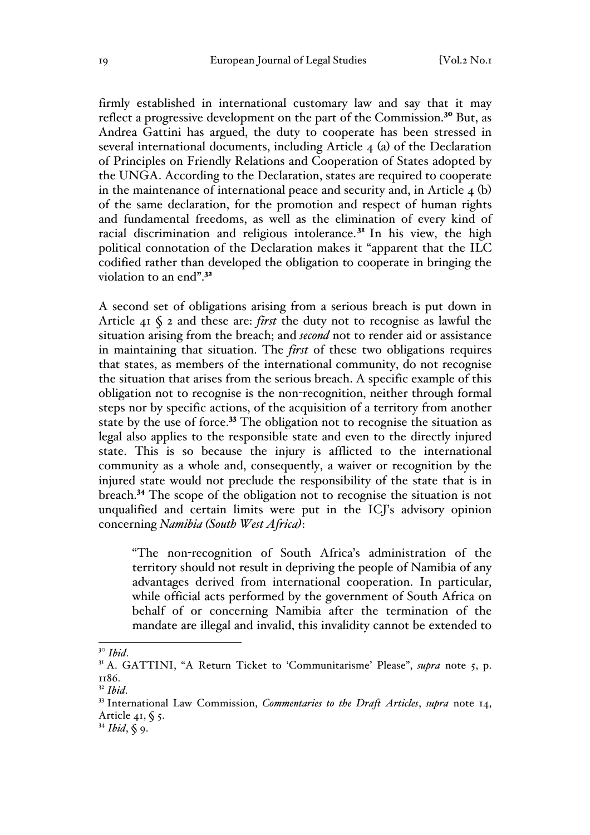firmly established in international customary law and say that it may reflect a progressive development on the part of the Commission.<sup>30</sup> But, as Andrea Gattini has argued, the duty to cooperate has been stressed in several international documents, including Article 4 (a) of the Declaration of Principles on Friendly Relations and Cooperation of States adopted by the UNGA. According to the Declaration, states are required to cooperate in the maintenance of international peace and security and, in Article 4 (b) of the same declaration, for the promotion and respect of human rights and fundamental freedoms, as well as the elimination of every kind of racial discrimination and religious intolerance.<sup> $3<sup>T</sup>$ </sup> In his view, the high political connotation of the Declaration makes it "apparent that the ILC codified rather than developed the obligation to cooperate in bringing the violation to an end".<sup>32</sup>

A second set of obligations arising from a serious breach is put down in Article 41 § 2 and these are: *first* the duty not to recognise as lawful the situation arising from the breach; and *second* not to render aid or assistance in maintaining that situation. The *first* of these two obligations requires that states, as members of the international community, do not recognise the situation that arises from the serious breach. A specific example of this obligation not to recognise is the non-recognition, neither through formal steps nor by specific actions, of the acquisition of a territory from another state by the use of force.<sup>33</sup> The obligation not to recognise the situation as legal also applies to the responsible state and even to the directly injured state. This is so because the injury is afflicted to the international community as a whole and, consequently, a waiver or recognition by the injured state would not preclude the responsibility of the state that is in breach.<sup>34</sup> The scope of the obligation not to recognise the situation is not unqualified and certain limits were put in the ICJ's advisory opinion concerning *Namibia (South West Africa)*:

"The non-recognition of South Africa's administration of the territory should not result in depriving the people of Namibia of any advantages derived from international cooperation. In particular, while official acts performed by the government of South Africa on behalf of or concerning Namibia after the termination of the mandate are illegal and invalid, this invalidity cannot be extended to

<sup>&</sup>lt;sup>30</sup> *Ibid*.<br><sup>31</sup> A. GATTINI, "A Return Ticket to 'Communitarisme' Please", *supra* note 5, p. 1186.

<sup>32</sup> *Ibid*. <sup>33</sup> International Law Commission, *Commentaries to the Draft Articles*, *supra* note 14, Article 41,  $\zeta$  5.

<sup>34</sup> *Ibid*, § 9.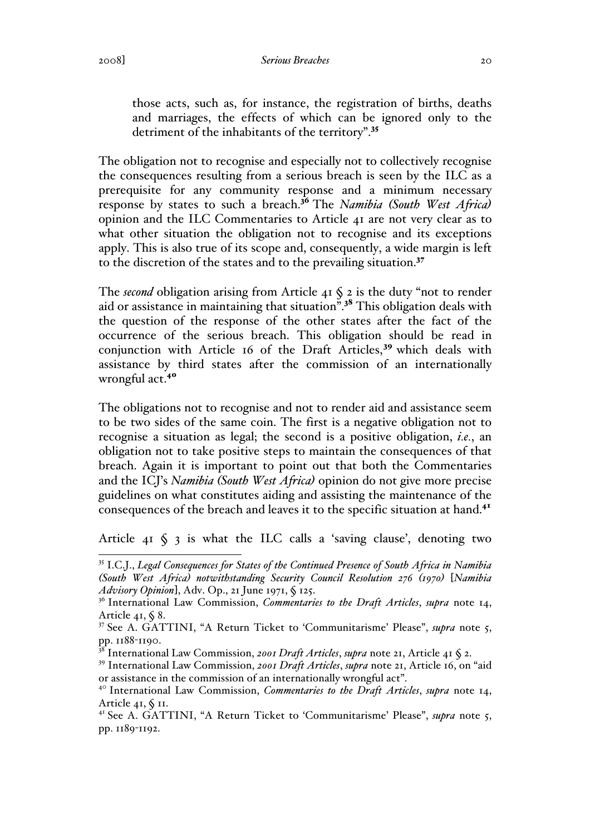those acts, such as, for instance, the registration of births, deaths and marriages, the effects of which can be ignored only to the detriment of the inhabitants of the territory".<sup>35</sup>

The obligation not to recognise and especially not to collectively recognise the consequences resulting from a serious breach is seen by the ILC as a prerequisite for any community response and a minimum necessary response by states to such a breach.<sup>36</sup> The *Namibia (South West Africa)* opinion and the ILC Commentaries to Article 41 are not very clear as to what other situation the obligation not to recognise and its exceptions apply. This is also true of its scope and, consequently, a wide margin is left to the discretion of the states and to the prevailing situation.<sup>37</sup>

The *second* obligation arising from Article  $41 \xi$  2 is the duty "not to render aid or assistance in maintaining that situation".<sup>38</sup> This obligation deals with the question of the response of the other states after the fact of the occurrence of the serious breach. This obligation should be read in conjunction with Article 16 of the Draft Articles,<sup>39</sup> which deals with assistance by third states after the commission of an internationally wrongful act.<sup>40</sup>

The obligations not to recognise and not to render aid and assistance seem to be two sides of the same coin. The first is a negative obligation not to recognise a situation as legal; the second is a positive obligation, *i.e.*, an obligation not to take positive steps to maintain the consequences of that breach. Again it is important to point out that both the Commentaries and the ICJ's *Namibia (South West Africa)* opinion do not give more precise guidelines on what constitutes aiding and assisting the maintenance of the consequences of the breach and leaves it to the specific situation at hand.<sup>41</sup>

Article  $41 \text{ } S$  3 is what the ILC calls a 'saving clause', denoting two

 <sup>35</sup> I.C.J., *Legal Consequences for States of the Continued Presence of South Africa in Namibia (South West Africa) notwithstanding Security Council Resolution 276 (1970)* [*Namibia Advisory Opinion*], Adv. Op., 21 June 1971, § 125.<br><sup>36</sup> International Law Commission, *Commentaries to the Draft Articles*, *supra* note 14,

Article 41,  $\sqrt{$}8$ .

<sup>37</sup> See A. GATTINI, "A Return Ticket to 'Communitarisme' Please", *supra* note 5, pp. 1188-1190.

<sup>38</sup> International Law Commission, *2001 Draft Articles*, *supra* note 21, Article 41 § 2.

<sup>39</sup> International Law Commission, *2001 Draft Articles*, *supra* note 21, Article 16, on "aid or assistance in the commission of an internationally wrongful act". <sup>40</sup> International Law Commission, *Commentaries to the Draft Articles*, *supra* note 14,

Article 41, § 11.

<sup>41</sup> See A. GATTINI, "A Return Ticket to 'Communitarisme' Please", *supra* note 5, pp. 1189-1192.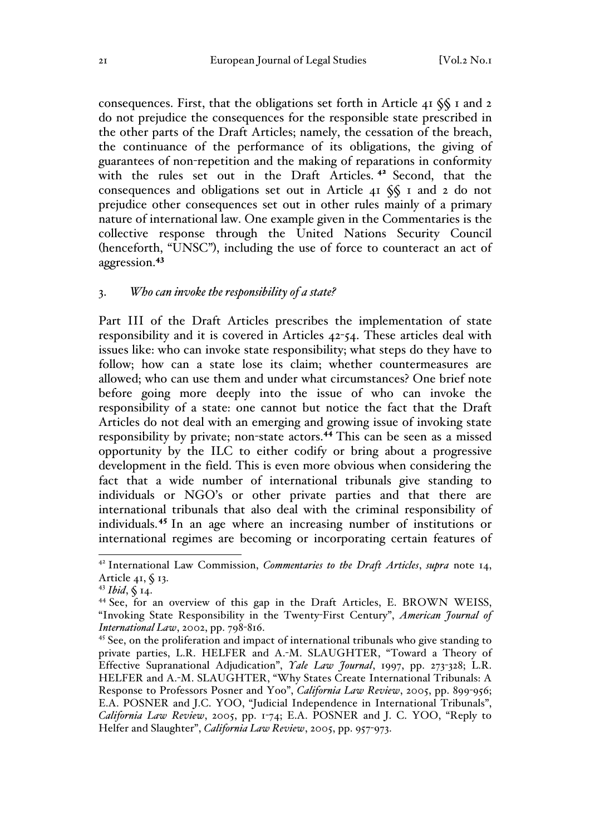consequences. First, that the obligations set forth in Article 41 §§ 1 and 2 do not prejudice the consequences for the responsible state prescribed in the other parts of the Draft Articles; namely, the cessation of the breach, the continuance of the performance of its obligations, the giving of guarantees of non-repetition and the making of reparations in conformity with the rules set out in the Draft Articles.<sup>42</sup> Second, that the consequences and obligations set out in Article 41 §§ 1 and 2 do not prejudice other consequences set out in other rules mainly of a primary nature of international law. One example given in the Commentaries is the collective response through the United Nations Security Council (henceforth, "UNSC"), including the use of force to counteract an act of aggression.<sup>43</sup>

#### 3. *Who can invoke the responsibility of a state?*

Part III of the Draft Articles prescribes the implementation of state responsibility and it is covered in Articles 42-54. These articles deal with issues like: who can invoke state responsibility; what steps do they have to follow; how can a state lose its claim; whether countermeasures are allowed; who can use them and under what circumstances? One brief note before going more deeply into the issue of who can invoke the responsibility of a state: one cannot but notice the fact that the Draft Articles do not deal with an emerging and growing issue of invoking state responsibility by private; non-state actors.<sup>44</sup> This can be seen as a missed opportunity by the ILC to either codify or bring about a progressive development in the field. This is even more obvious when considering the fact that a wide number of international tribunals give standing to individuals or NGO's or other private parties and that there are international tribunals that also deal with the criminal responsibility of individuals.<sup>45</sup> In an age where an increasing number of institutions or international regimes are becoming or incorporating certain features of

 <sup>42</sup> International Law Commission, *Commentaries to the Draft Articles*, *supra* note 14, Article 41,  $\oint$  13.

<sup>43</sup> *Ibid*, § 14.

<sup>&</sup>lt;sup>44</sup> See, for an overview of this gap in the Draft Articles, E. BROWN WEISS, "Invoking State Responsibility in the Twenty-First Century", *American Journal of International Law*, 2002, pp. 798-816.

<sup>&</sup>lt;sup>45</sup> See, on the proliferation and impact of international tribunals who give standing to private parties, L.R. HELFER and A.-M. SLAUGHTER, "Toward a Theory of Effective Supranational Adjudication", *Yale Law Journal*, 1997, pp. 273-328; L.R. HELFER and A.-M. SLAUGHTER, "Why States Create International Tribunals: A Response to Professors Posner and Yoo", *California Law Review*, 2005, pp. 899-956; E.A. POSNER and J.C. YOO, "Judicial Independence in International Tribunals", *California Law Review*, 2005, pp. 1-74; E.A. POSNER and J. C. YOO, "Reply to Helfer and Slaughter", *California Law Review*, 2005, pp. 957-973.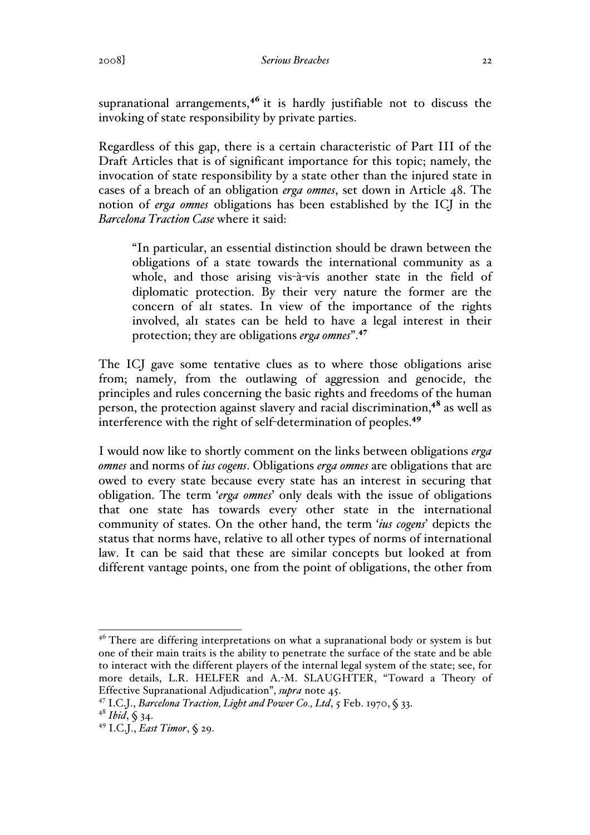supranational arrangements,<sup>46</sup> it is hardly justifiable not to discuss the invoking of state responsibility by private parties.

Regardless of this gap, there is a certain characteristic of Part III of the Draft Articles that is of significant importance for this topic; namely, the invocation of state responsibility by a state other than the injured state in cases of a breach of an obligation *erga omnes*, set down in Article 48. The notion of *erga omnes* obligations has been established by the ICJ in the *Barcelona Traction Case* where it said:

"In particular, an essential distinction should be drawn between the obligations of a state towards the international community as a whole, and those arising vis-à-vis another state in the field of diplomatic protection. By their very nature the former are the concern of all states. In view of the importance of the rights involved, all states can be held to have a legal interest in their protection; they are obligations *erga omnes*".<sup>47</sup>

The ICJ gave some tentative clues as to where those obligations arise from; namely, from the outlawing of aggression and genocide, the principles and rules concerning the basic rights and freedoms of the human person, the protection against slavery and racial discrimination,<sup>48</sup> as well as interference with the right of self-determination of peoples.<sup>49</sup>

I would now like to shortly comment on the links between obligations *erga omnes* and norms of *ius cogens*. Obligations *erga omnes* are obligations that are owed to every state because every state has an interest in securing that obligation. The term '*erga omnes*' only deals with the issue of obligations that one state has towards every other state in the international community of states. On the other hand, the term '*ius cogens*' depicts the status that norms have, relative to all other types of norms of international law. It can be said that these are similar concepts but looked at from different vantage points, one from the point of obligations, the other from

 $46$  There are differing interpretations on what a supranational body or system is but one of their main traits is the ability to penetrate the surface of the state and be able to interact with the different players of the internal legal system of the state; see, for more details, L.R. HELFER and A.-M. SLAUGHTER, "Toward a Theory of Effective Supranational Adjudication", *supra* note 45.

<sup>47</sup> I.C.J., *Barcelona Traction, Light and Power Co., Ltd*, 5 Feb. 1970, § 33. 48 *Ibid*, § 34.

<sup>49</sup> I.C.J., *East Timor*, § 29.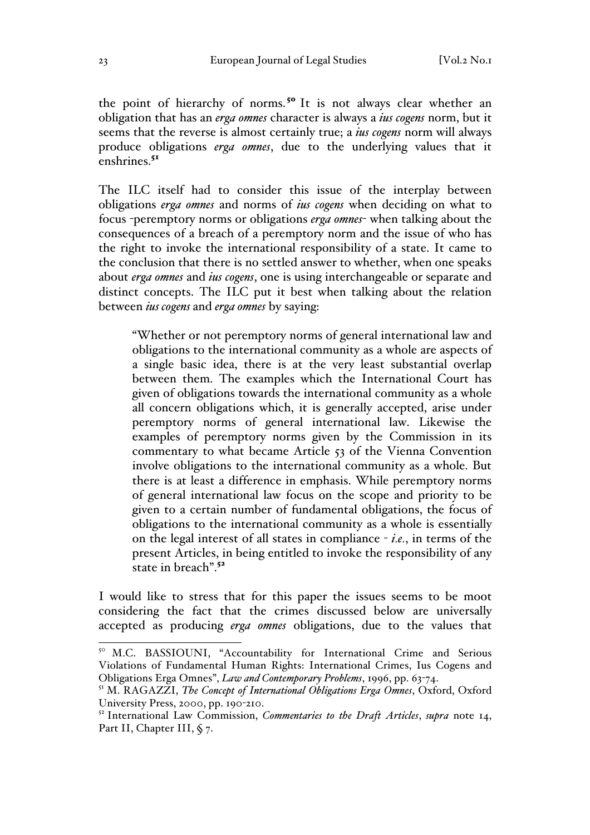the point of hierarchy of norms.<sup>50</sup> It is not always clear whether an obligation that has an *erga omnes* character is always a *ius cogens* norm, but it seems that the reverse is almost certainly true; a *ius cogens* norm will always produce obligations *erga omnes*, due to the underlying values that it  $enshrines.<sup>51</sup>$ 

The ILC itself had to consider this issue of the interplay between obligations *erga omnes* and norms of *ius cogens* when deciding on what to focus -peremptory norms or obligations *erga omnes*- when talking about the consequences of a breach of a peremptory norm and the issue of who has the right to invoke the international responsibility of a state. It came to the conclusion that there is no settled answer to whether, when one speaks about *erga omnes* and *ius cogens*, one is using interchangeable or separate and distinct concepts. The ILC put it best when talking about the relation between *ius cogens* and *erga omnes* by saying:

"Whether or not peremptory norms of general international law and obligations to the international community as a whole are aspects of a single basic idea, there is at the very least substantial overlap between them. The examples which the International Court has given of obligations towards the international community as a whole all concern obligations which, it is generally accepted, arise under peremptory norms of general international law. Likewise the examples of peremptory norms given by the Commission in its commentary to what became Article 53 of the Vienna Convention involve obligations to the international community as a whole. But there is at least a difference in emphasis. While peremptory norms of general international law focus on the scope and priority to be given to a certain number of fundamental obligations, the focus of obligations to the international community as a whole is essentially on the legal interest of all states in compliance - *i.e.*, in terms of the present Articles, in being entitled to invoke the responsibility of any state in breach".<sup>52</sup>

I would like to stress that for this paper the issues seems to be moot considering the fact that the crimes discussed below are universally accepted as producing *erga omnes* obligations, due to the values that

<sup>&</sup>lt;sup>50</sup> M.C. BASSIOUNI, "Accountability for International Crime and Serious Violations of Fundamental Human Rights: International Crimes, Ius Cogens and Obligations Erga Omnes", *Law and Contemporary Problems*, 1996, pp. 63-74.

<sup>51</sup> M. RAGAZZI, *The Concept of International Obligations Erga Omnes*, Oxford, Oxford University Press, 2000, pp. 190-210.

<sup>52</sup> International Law Commission, *Commentaries to the Draft Articles*, *supra* note 14, Part II, Chapter III,  $\zeta$  7.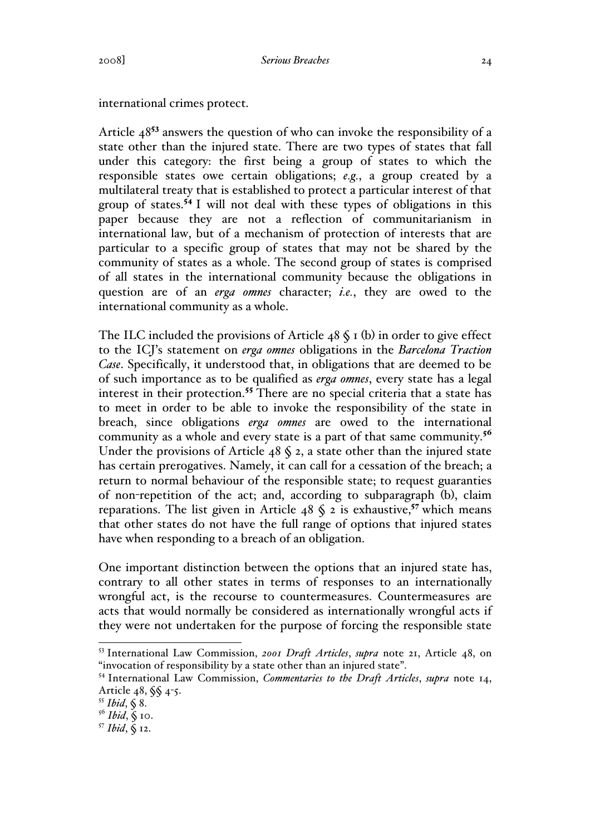international crimes protect.

Article  $48^{53}$  answers the question of who can invoke the responsibility of a state other than the injured state. There are two types of states that fall under this category: the first being a group of states to which the responsible states owe certain obligations; *e.g.*, a group created by a multilateral treaty that is established to protect a particular interest of that group of states.<sup>54</sup> I will not deal with these types of obligations in this paper because they are not a reflection of communitarianism in international law, but of a mechanism of protection of interests that are particular to a specific group of states that may not be shared by the community of states as a whole. The second group of states is comprised of all states in the international community because the obligations in question are of an *erga omnes* character; *i.e.*, they are owed to the international community as a whole.

The ILC included the provisions of Article  $48 \xi$  I (b) in order to give effect to the ICJ's statement on *erga omnes* obligations in the *Barcelona Traction Case*. Specifically, it understood that, in obligations that are deemed to be of such importance as to be qualified as *erga omnes*, every state has a legal interest in their protection.<sup>55</sup> There are no special criteria that a state has to meet in order to be able to invoke the responsibility of the state in breach, since obligations *erga omnes* are owed to the international community as a whole and every state is a part of that same community.<sup>56</sup> Under the provisions of Article  $48 \text{ } 8$  2, a state other than the injured state has certain prerogatives. Namely, it can call for a cessation of the breach; a return to normal behaviour of the responsible state; to request guaranties of non-repetition of the act; and, according to subparagraph (b), claim reparations. The list given in Article  $48 \text{ S }$  2 is exhaustive,<sup>57</sup> which means that other states do not have the full range of options that injured states have when responding to a breach of an obligation.

One important distinction between the options that an injured state has, contrary to all other states in terms of responses to an internationally wrongful act, is the recourse to countermeasures. Countermeasures are acts that would normally be considered as internationally wrongful acts if they were not undertaken for the purpose of forcing the responsible state

 <sup>53</sup> International Law Commission, *2001 Draft Articles*, *supra* note 21, Article 48, on "invocation of responsibility by a state other than an injured state".

<sup>54</sup> International Law Commission, *Commentaries to the Draft Articles*, *supra* note 14, Article 48, §§ 4-5.

<sup>55</sup> *Ibid*, § 8. 56 *Ibid*, § 10.

<sup>57</sup> *Ibid*, § 12.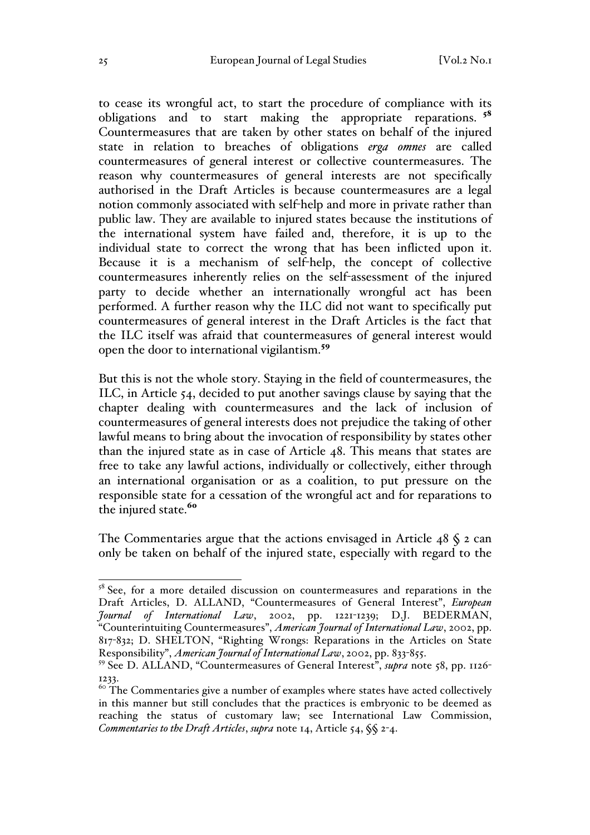to cease its wrongful act, to start the procedure of compliance with its obligations and to start making the appropriate reparations. <sup>58</sup> Countermeasures that are taken by other states on behalf of the injured state in relation to breaches of obligations *erga omnes* are called countermeasures of general interest or collective countermeasures. The reason why countermeasures of general interests are not specifically authorised in the Draft Articles is because countermeasures are a legal notion commonly associated with self-help and more in private rather than public law. They are available to injured states because the institutions of the international system have failed and, therefore, it is up to the individual state to correct the wrong that has been inflicted upon it. Because it is a mechanism of self-help, the concept of collective countermeasures inherently relies on the self-assessment of the injured party to decide whether an internationally wrongful act has been performed. A further reason why the ILC did not want to specifically put countermeasures of general interest in the Draft Articles is the fact that the ILC itself was afraid that countermeasures of general interest would open the door to international vigilantism.<sup>59</sup>

But this is not the whole story. Staying in the field of countermeasures, the ILC, in Article 54, decided to put another savings clause by saying that the chapter dealing with countermeasures and the lack of inclusion of countermeasures of general interests does not prejudice the taking of other lawful means to bring about the invocation of responsibility by states other than the injured state as in case of Article 48. This means that states are free to take any lawful actions, individually or collectively, either through an international organisation or as a coalition, to put pressure on the responsible state for a cessation of the wrongful act and for reparations to the injured state.<sup>60</sup>

The Commentaries argue that the actions envisaged in Article  $48 \text{ S }$  2 can only be taken on behalf of the injured state, especially with regard to the

<sup>&</sup>lt;sup>58</sup> See, for a more detailed discussion on countermeasures and reparations in the Draft Articles, D. ALLAND, "Countermeasures of General Interest", *European Journal of International Law*, 2002, pp. 1221-1239; D.J. BEDERMAN, "Counterintuiting Countermeasures", *American Journal of International Law*, 2002, pp. 817-832; D. SHELTON, "Righting Wrongs: Reparations in the Articles on State Responsibility", *American Journal of International Law*, 2002, pp. 833-855.

<sup>59</sup> See D. ALLAND, "Countermeasures of General Interest", *supra* note 58, pp. 1126- 1233.

 $60$ <sup>60</sup> The Commentaries give a number of examples where states have acted collectively in this manner but still concludes that the practices is embryonic to be deemed as reaching the status of customary law; see International Law Commission, *Commentaries to the Draft Articles*, *supra* note 14, Article 54, §§ 2-4.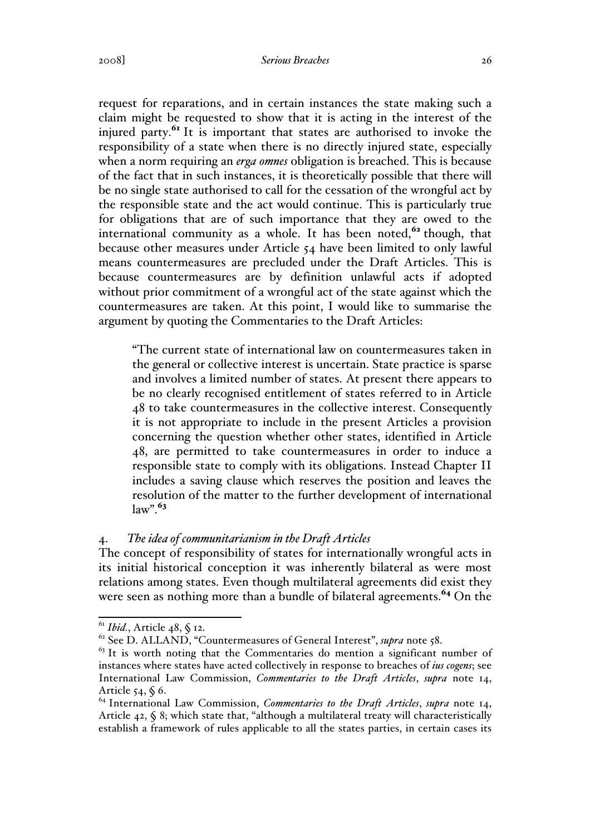request for reparations, and in certain instances the state making such a claim might be requested to show that it is acting in the interest of the injured party. $^{61}$  It is important that states are authorised to invoke the responsibility of a state when there is no directly injured state, especially when a norm requiring an *erga omnes* obligation is breached. This is because of the fact that in such instances, it is theoretically possible that there will be no single state authorised to call for the cessation of the wrongful act by the responsible state and the act would continue. This is particularly true for obligations that are of such importance that they are owed to the international community as a whole. It has been noted,<sup>62</sup> though, that because other measures under Article 54 have been limited to only lawful means countermeasures are precluded under the Draft Articles. This is because countermeasures are by definition unlawful acts if adopted without prior commitment of a wrongful act of the state against which the countermeasures are taken. At this point, I would like to summarise the argument by quoting the Commentaries to the Draft Articles:

"The current state of international law on countermeasures taken in the general or collective interest is uncertain. State practice is sparse and involves a limited number of states. At present there appears to be no clearly recognised entitlement of states referred to in Article 48 to take countermeasures in the collective interest. Consequently it is not appropriate to include in the present Articles a provision concerning the question whether other states, identified in Article 48, are permitted to take countermeasures in order to induce a responsible state to comply with its obligations. Instead Chapter II includes a saving clause which reserves the position and leaves the resolution of the matter to the further development of international  $law$ ".  $63$ 

## 4. *The idea of communitarianism in the Draft Articles*

The concept of responsibility of states for internationally wrongful acts in its initial historical conception it was inherently bilateral as were most relations among states. Even though multilateral agreements did exist they were seen as nothing more than a bundle of bilateral agreements.<sup>64</sup> On the

<sup>&</sup>lt;sup>61</sup> *Ibid.*, Article 48, § 12.<br><sup>62</sup> See D. ALLAND, "Countermeasures of General Interest", *supra* note 58.

 $63$  It is worth noting that the Commentaries do mention a significant number of instances where states have acted collectively in response to breaches of *ius cogens*; see International Law Commission, *Commentaries to the Draft Articles*, *supra* note 14, Article 54, § 6.<br><sup>64</sup> International Law Commission, *Commentaries to the Draft Articles*, *supra* note 14,

Article 42, § 8; which state that, "although a multilateral treaty will characteristically establish a framework of rules applicable to all the states parties, in certain cases its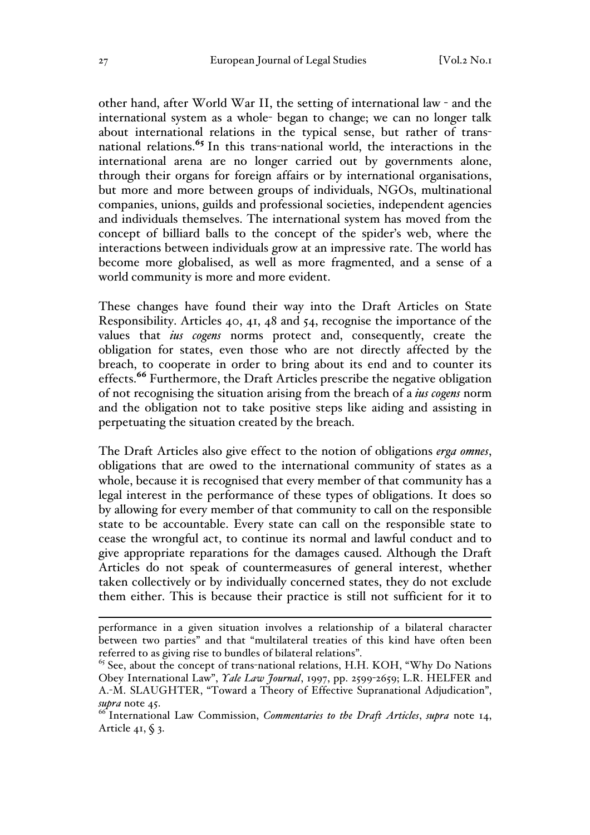other hand, after World War II, the setting of international law - and the international system as a whole- began to change; we can no longer talk about international relations in the typical sense, but rather of transnational relations.<sup>65</sup> In this trans-national world, the interactions in the international arena are no longer carried out by governments alone, through their organs for foreign affairs or by international organisations, but more and more between groups of individuals, NGOs, multinational companies, unions, guilds and professional societies, independent agencies and individuals themselves. The international system has moved from the concept of billiard balls to the concept of the spider's web, where the interactions between individuals grow at an impressive rate. The world has become more globalised, as well as more fragmented, and a sense of a world community is more and more evident.

These changes have found their way into the Draft Articles on State Responsibility. Articles 40, 41, 48 and 54, recognise the importance of the values that *ius cogens* norms protect and, consequently, create the obligation for states, even those who are not directly affected by the breach, to cooperate in order to bring about its end and to counter its effects.<sup>66</sup> Furthermore, the Draft Articles prescribe the negative obligation of not recognising the situation arising from the breach of a *ius cogens* norm and the obligation not to take positive steps like aiding and assisting in perpetuating the situation created by the breach.

The Draft Articles also give effect to the notion of obligations *erga omnes*, obligations that are owed to the international community of states as a whole, because it is recognised that every member of that community has a legal interest in the performance of these types of obligations. It does so by allowing for every member of that community to call on the responsible state to be accountable. Every state can call on the responsible state to cease the wrongful act, to continue its normal and lawful conduct and to give appropriate reparations for the damages caused. Although the Draft Articles do not speak of countermeasures of general interest, whether taken collectively or by individually concerned states, they do not exclude them either. This is because their practice is still not sufficient for it to

performance in a given situation involves a relationship of a bilateral character between two parties" and that "multilateral treaties of this kind have often been referred to as giving rise to bundles of bilateral relations".

 $65$  See, about the concept of trans-national relations, H.H. KOH, "Why Do Nations" Obey International Law", *Yale Law Journal*, 1997, pp. 2599-2659; L.R. HELFER and A.-M. SLAUGHTER, "Toward a Theory of Effective Supranational Adjudication", *supra* note 45.

<sup>66</sup> International Law Commission, *Commentaries to the Draft Articles*, *supra* note 14, Article 41,  $\S$  3.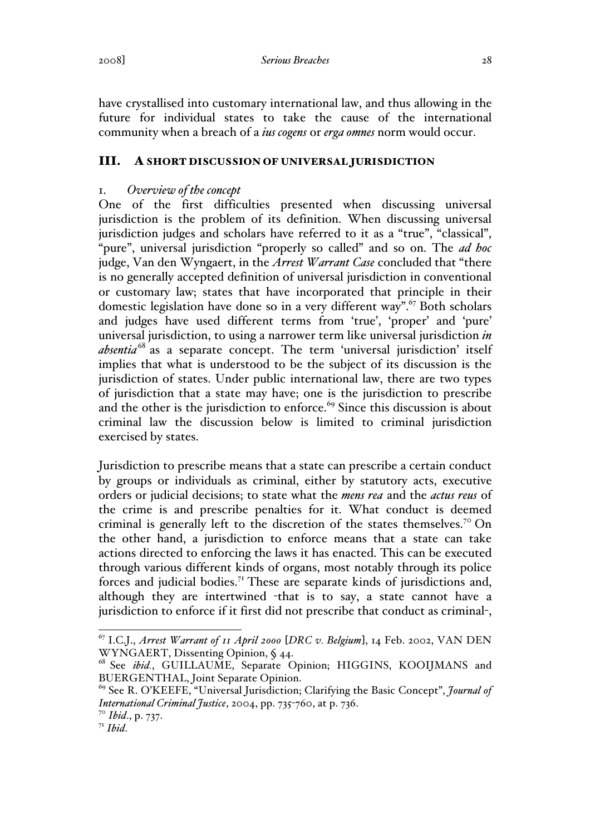have crystallised into customary international law, and thus allowing in the future for individual states to take the cause of the international community when a breach of a *ius cogens* or *erga omnes* norm would occur.

## III. A SHORT DISCUSSION OF UNIVERSAL JURISDICTION

## 1. *Overview of the concept*

One of the first difficulties presented when discussing universal jurisdiction is the problem of its definition. When discussing universal jurisdiction judges and scholars have referred to it as a "true", "classical", "pure", universal jurisdiction "properly so called" and so on. The *ad hoc*  judge, Van den Wyngaert, in the *Arrest Warrant Case* concluded that "there is no generally accepted definition of universal jurisdiction in conventional or customary law; states that have incorporated that principle in their domestic legislation have done so in a very different way".<sup>67</sup> Both scholars and judges have used different terms from 'true', 'proper' and 'pure' universal jurisdiction, to using a narrower term like universal jurisdiction *in absentia*<sup>68</sup> as a separate concept. The term 'universal jurisdiction' itself implies that what is understood to be the subject of its discussion is the jurisdiction of states. Under public international law, there are two types of jurisdiction that a state may have; one is the jurisdiction to prescribe and the other is the jurisdiction to enforce.<sup>69</sup> Since this discussion is about criminal law the discussion below is limited to criminal jurisdiction exercised by states.

Jurisdiction to prescribe means that a state can prescribe a certain conduct by groups or individuals as criminal, either by statutory acts, executive orders or judicial decisions; to state what the *mens rea* and the *actus reus* of the crime is and prescribe penalties for it. What conduct is deemed criminal is generally left to the discretion of the states themselves.<sup>70</sup> On the other hand, a jurisdiction to enforce means that a state can take actions directed to enforcing the laws it has enacted. This can be executed through various different kinds of organs, most notably through its police forces and judicial bodies.<sup>71</sup> These are separate kinds of jurisdictions and, although they are intertwined -that is to say, a state cannot have a jurisdiction to enforce if it first did not prescribe that conduct as criminal-,

 <sup>67</sup> I.C.J., *Arrest Warrant of 11 April 2000* [*DRC v. Belgium*], 14 Feb. 2002, VAN DEN WYNGAERT, Dissenting Opinion, § 44.

<sup>68</sup> See *ibid.*, GUILLAUME, Separate Opinion; HIGGINS, KOOIJMANS and BUERGENTHAL, Joint Separate Opinion.

<sup>69</sup> See R. O'KEEFE, "Universal Jurisdiction; Clarifying the Basic Concept", *Journal of International Criminal Justice*, 2004, pp. 735-760, at p. 736.

<sup>70</sup> *Ibid*., p. 737.

<sup>71</sup> *Ibid*.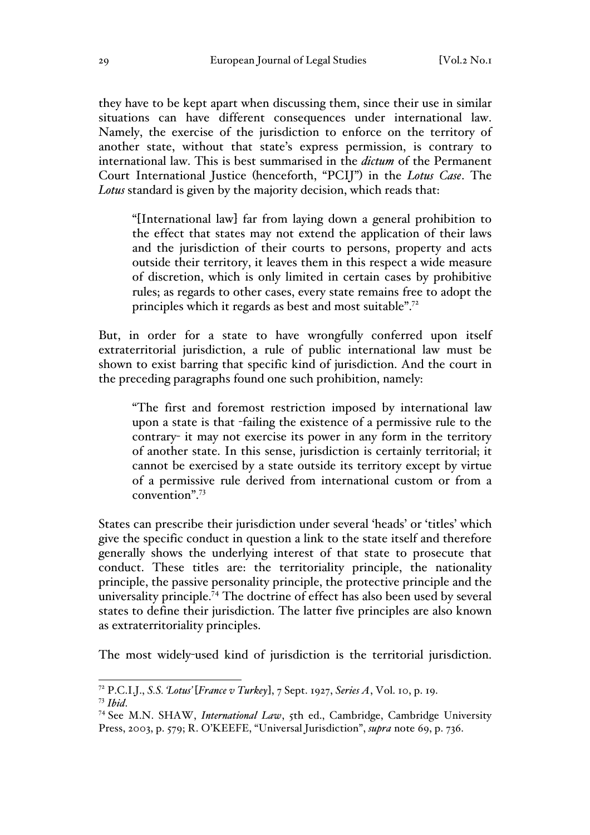they have to be kept apart when discussing them, since their use in similar situations can have different consequences under international law. Namely, the exercise of the jurisdiction to enforce on the territory of another state, without that state's express permission, is contrary to international law. This is best summarised in the *dictum* of the Permanent Court International Justice (henceforth, "PCIJ") in the *Lotus Case*. The *Lotus* standard is given by the majority decision, which reads that:

"[International law] far from laying down a general prohibition to the effect that states may not extend the application of their laws and the jurisdiction of their courts to persons, property and acts outside their territory, it leaves them in this respect a wide measure of discretion, which is only limited in certain cases by prohibitive rules; as regards to other cases, every state remains free to adopt the principles which it regards as best and most suitable".<sup>72</sup>

But, in order for a state to have wrongfully conferred upon itself extraterritorial jurisdiction, a rule of public international law must be shown to exist barring that specific kind of jurisdiction. And the court in the preceding paragraphs found one such prohibition, namely:

"The first and foremost restriction imposed by international law upon a state is that -failing the existence of a permissive rule to the contrary- it may not exercise its power in any form in the territory of another state. In this sense, jurisdiction is certainly territorial; it cannot be exercised by a state outside its territory except by virtue of a permissive rule derived from international custom or from a convention".73

States can prescribe their jurisdiction under several 'heads' or 'titles' which give the specific conduct in question a link to the state itself and therefore generally shows the underlying interest of that state to prosecute that conduct. These titles are: the territoriality principle, the nationality principle, the passive personality principle, the protective principle and the universality principle.<sup>74</sup> The doctrine of effect has also been used by several states to define their jurisdiction. The latter five principles are also known as extraterritoriality principles.

The most widely-used kind of jurisdiction is the territorial jurisdiction.

 <sup>72</sup> P.C.I.J., *S.S. 'Lotus'* [*France v Turkey*], 7 Sept. 1927, *Series A*, Vol. 10, p. 19.

<sup>73</sup> *Ibid*. 74 See M.N. SHAW, *International Law*, 5th ed., Cambridge, Cambridge University Press, 2003, p. 579; R. O'KEEFE, "Universal Jurisdiction", *supra* note 69, p. 736.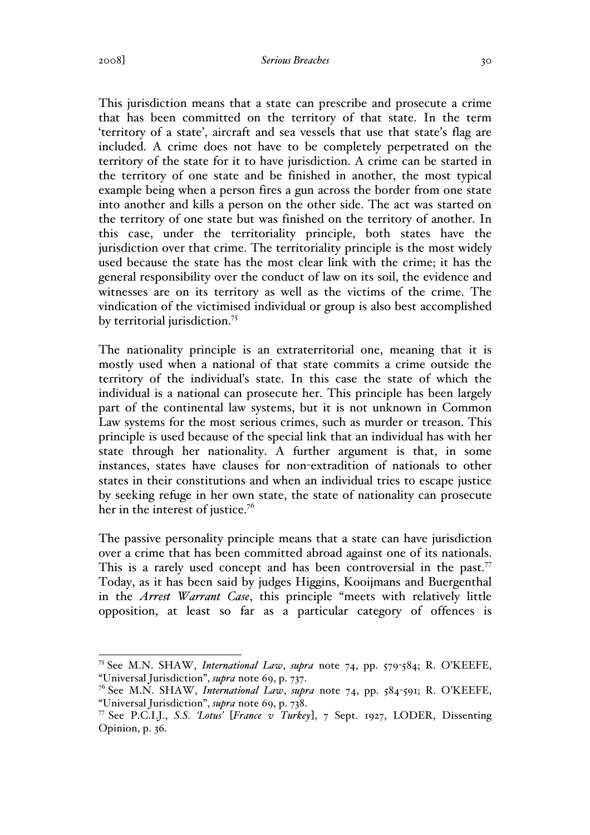#### 2008] *Serious Breaches* 30

This jurisdiction means that a state can prescribe and prosecute a crime that has been committed on the territory of that state. In the term 'territory of a state', aircraft and sea vessels that use that state's flag are included. A crime does not have to be completely perpetrated on the territory of the state for it to have jurisdiction. A crime can be started in the territory of one state and be finished in another, the most typical example being when a person fires a gun across the border from one state into another and kills a person on the other side. The act was started on the territory of one state but was finished on the territory of another. In this case, under the territoriality principle, both states have the jurisdiction over that crime. The territoriality principle is the most widely used because the state has the most clear link with the crime; it has the general responsibility over the conduct of law on its soil, the evidence and witnesses are on its territory as well as the victims of the crime. The vindication of the victimised individual or group is also best accomplished by territorial jurisdiction.<sup>75</sup>

The nationality principle is an extraterritorial one, meaning that it is mostly used when a national of that state commits a crime outside the territory of the individual's state. In this case the state of which the individual is a national can prosecute her. This principle has been largely part of the continental law systems, but it is not unknown in Common Law systems for the most serious crimes, such as murder or treason. This principle is used because of the special link that an individual has with her state through her nationality. A further argument is that, in some instances, states have clauses for non-extradition of nationals to other states in their constitutions and when an individual tries to escape justice by seeking refuge in her own state, the state of nationality can prosecute her in the interest of justice.<sup>76</sup>

The passive personality principle means that a state can have jurisdiction over a crime that has been committed abroad against one of its nationals. This is a rarely used concept and has been controversial in the past.<sup>77</sup> Today, as it has been said by judges Higgins, Kooijmans and Buergenthal in the *Arrest Warrant Case*, this principle "meets with relatively little opposition, at least so far as a particular category of offences is

 <sup>75</sup> See M.N. SHAW, *International Law*, *supra* note 74, pp. 579-584; R. O'KEEFE, "Universal Jurisdiction", *supra* note 69, p. 737.

<sup>76</sup> See M.N. SHAW, *International Law*, *supra* note 74, pp. 584-591; R. O'KEEFE, "Universal Jurisdiction", *supra* note 69, p. 738.

<sup>77</sup> See P.C.I.J., *S.S. 'Lotus'* [*France v Turkey*], 7 Sept. 1927, LODER, Dissenting Opinion, p. 36.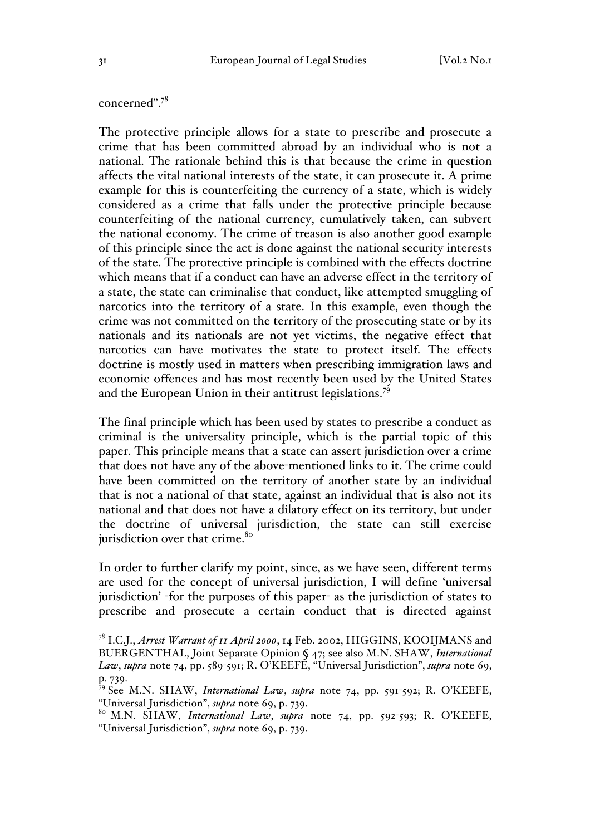#### concerned".78

The protective principle allows for a state to prescribe and prosecute a crime that has been committed abroad by an individual who is not a national. The rationale behind this is that because the crime in question affects the vital national interests of the state, it can prosecute it. A prime example for this is counterfeiting the currency of a state, which is widely considered as a crime that falls under the protective principle because counterfeiting of the national currency, cumulatively taken, can subvert the national economy. The crime of treason is also another good example of this principle since the act is done against the national security interests of the state. The protective principle is combined with the effects doctrine which means that if a conduct can have an adverse effect in the territory of a state, the state can criminalise that conduct, like attempted smuggling of narcotics into the territory of a state. In this example, even though the crime was not committed on the territory of the prosecuting state or by its nationals and its nationals are not yet victims, the negative effect that narcotics can have motivates the state to protect itself. The effects doctrine is mostly used in matters when prescribing immigration laws and economic offences and has most recently been used by the United States and the European Union in their antitrust legislations.<sup>79</sup>

The final principle which has been used by states to prescribe a conduct as criminal is the universality principle, which is the partial topic of this paper. This principle means that a state can assert jurisdiction over a crime that does not have any of the above-mentioned links to it. The crime could have been committed on the territory of another state by an individual that is not a national of that state, against an individual that is also not its national and that does not have a dilatory effect on its territory, but under the doctrine of universal jurisdiction, the state can still exercise jurisdiction over that crime.<sup>80</sup>

In order to further clarify my point, since, as we have seen, different terms are used for the concept of universal jurisdiction, I will define 'universal jurisdiction' -for the purposes of this paper- as the jurisdiction of states to prescribe and prosecute a certain conduct that is directed against

 <sup>78</sup> I.C.J., *Arrest Warrant of 11 April 2000*, 14 Feb. 2002, HIGGINS, KOOIJMANS and BUERGENTHAL, Joint Separate Opinion § 47; see also M.N. SHAW, *International Law*, *supra* note 74, pp. 589-591; R. O'KEEFE, "Universal Jurisdiction", *supra* note 69, p. 739.

<sup>79</sup> See M.N. SHAW, *International Law*, *supra* note 74, pp. 591-592; R. O'KEEFE,

<sup>&</sup>quot;Universal Jurisdiction", *supra* note 69, p. 739. <sup>80</sup> M.N. SHAW, *International Law*, *supra* note 74, pp. 592-593; R. O'KEEFE, "Universal Jurisdiction", *supra* note 69, p. 739.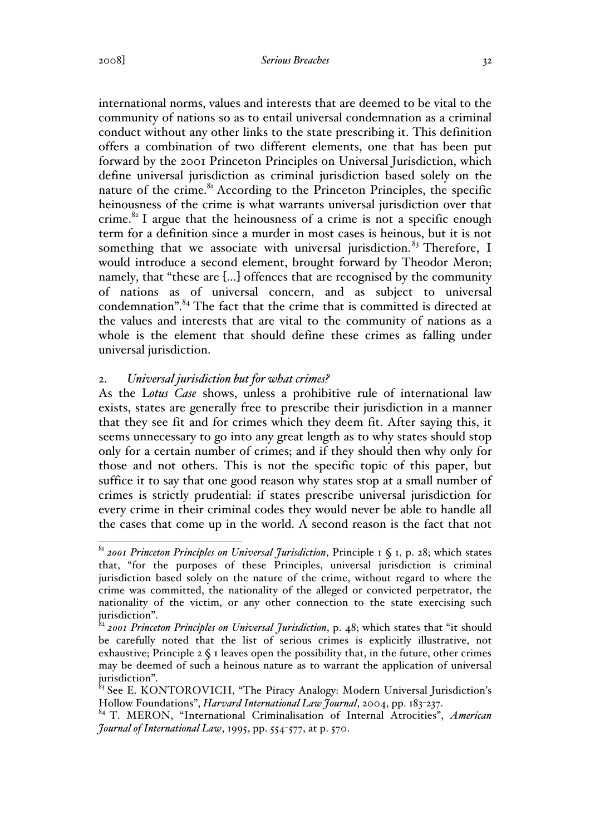#### 2008] *Serious Breaches* 32

international norms, values and interests that are deemed to be vital to the community of nations so as to entail universal condemnation as a criminal conduct without any other links to the state prescribing it. This definition offers a combination of two different elements, one that has been put forward by the 2001 Princeton Principles on Universal Jurisdiction, which define universal jurisdiction as criminal jurisdiction based solely on the nature of the crime. $81$  According to the Princeton Principles, the specific heinousness of the crime is what warrants universal jurisdiction over that crime.<sup>82</sup> I argue that the heinousness of a crime is not a specific enough term for a definition since a murder in most cases is heinous, but it is not something that we associate with universal jurisdiction.<sup>83</sup> Therefore, I would introduce a second element, brought forward by Theodor Meron; namely, that "these are […] offences that are recognised by the community of nations as of universal concern, and as subject to universal condemnation".<sup>84</sup> The fact that the crime that is committed is directed at the values and interests that are vital to the community of nations as a whole is the element that should define these crimes as falling under universal jurisdiction.

## 2. *Universal jurisdiction but for what crimes?*

As the L*otus Case* shows, unless a prohibitive rule of international law exists, states are generally free to prescribe their jurisdiction in a manner that they see fit and for crimes which they deem fit. After saying this, it seems unnecessary to go into any great length as to why states should stop only for a certain number of crimes; and if they should then why only for those and not others. This is not the specific topic of this paper, but suffice it to say that one good reason why states stop at a small number of crimes is strictly prudential: if states prescribe universal jurisdiction for every crime in their criminal codes they would never be able to handle all the cases that come up in the world. A second reason is the fact that not

 <sup>81</sup> *2001 Princeton Principles on Universal Jurisdiction*, Principle 1 § 1, p. 28; which states that, "for the purposes of these Principles, universal jurisdiction is criminal jurisdiction based solely on the nature of the crime, without regard to where the crime was committed, the nationality of the alleged or convicted perpetrator, the nationality of the victim, or any other connection to the state exercising such jurisdiction".

<sup>82&</sup>lt;br>82 *2001 Princeton Principles on Universal Jurisdiction*, p. 48; which states that "it should be carefully noted that the list of serious crimes is explicitly illustrative, not exhaustive; Principle  $2 \text{ }\mathsf{S}$  I leaves open the possibility that, in the future, other crimes may be deemed of such a heinous nature as to warrant the application of universal jurisdiction".

<sup>&</sup>lt;sup>83</sup> See E. KONTOROVICH, "The Piracy Analogy: Modern Universal Jurisdiction's Hollow Foundations", *Harvard International Law Journal*, 2004, pp. 183-237.

<sup>84</sup> T. MERON, "International Criminalisation of Internal Atrocities", *American Journal of International Law*, 1995, pp. 554-577, at p. 570.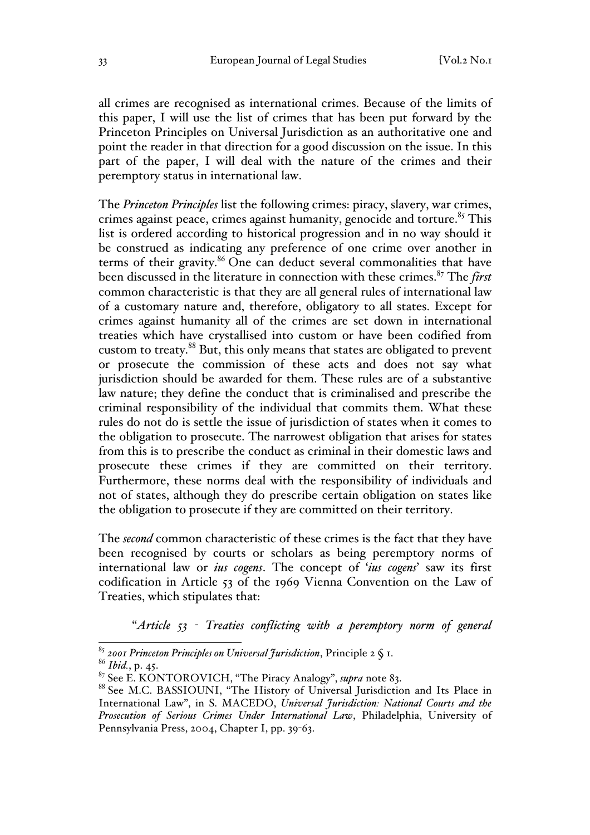all crimes are recognised as international crimes. Because of the limits of this paper, I will use the list of crimes that has been put forward by the Princeton Principles on Universal Jurisdiction as an authoritative one and point the reader in that direction for a good discussion on the issue. In this part of the paper, I will deal with the nature of the crimes and their peremptory status in international law.

The *Princeton Principles* list the following crimes: piracy, slavery, war crimes, crimes against peace, crimes against humanity, genocide and torture.<sup>85</sup> This list is ordered according to historical progression and in no way should it be construed as indicating any preference of one crime over another in terms of their gravity.<sup>86</sup> One can deduct several commonalities that have been discussed in the literature in connection with these crimes.<sup>87</sup> The *first* common characteristic is that they are all general rules of international law of a customary nature and, therefore, obligatory to all states. Except for crimes against humanity all of the crimes are set down in international treaties which have crystallised into custom or have been codified from custom to treaty.88 But, this only means that states are obligated to prevent or prosecute the commission of these acts and does not say what jurisdiction should be awarded for them. These rules are of a substantive law nature; they define the conduct that is criminalised and prescribe the criminal responsibility of the individual that commits them. What these rules do not do is settle the issue of jurisdiction of states when it comes to the obligation to prosecute. The narrowest obligation that arises for states from this is to prescribe the conduct as criminal in their domestic laws and prosecute these crimes if they are committed on their territory. Furthermore, these norms deal with the responsibility of individuals and not of states, although they do prescribe certain obligation on states like the obligation to prosecute if they are committed on their territory.

The *second* common characteristic of these crimes is the fact that they have been recognised by courts or scholars as being peremptory norms of international law or *ius cogens*. The concept of '*ius cogens*' saw its first codification in Article 53 of the 1969 Vienna Convention on the Law of Treaties, which stipulates that:

"*Article 53 - Treaties conflicting with a peremptory norm of general* 

<sup>&</sup>lt;sup>85</sup> *2001 Princeton Principles on Universal Jurisdiction*, Principle 2 § 1.<br><sup>86</sup> *Ibid.*, p. 45.<br><sup>87</sup> See E. KONTOROVICH, "The Piracy Analogy", *supra* note 83.

<sup>88</sup> See M.C. BASSIOUNI, "The History of Universal Jurisdiction and Its Place in International Law", in S. MACEDO, *Universal Jurisdiction: National Courts and the Prosecution of Serious Crimes Under International Law*, Philadelphia, University of Pennsylvania Press, 2004, Chapter I, pp. 39-63.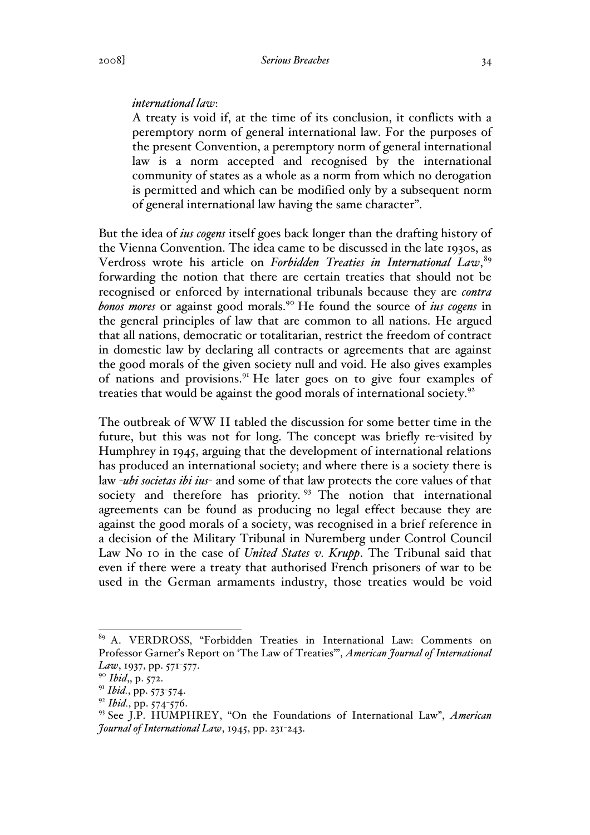#### *international law*:

A treaty is void if, at the time of its conclusion, it conflicts with a peremptory norm of general international law. For the purposes of the present Convention, a peremptory norm of general international law is a norm accepted and recognised by the international community of states as a whole as a norm from which no derogation is permitted and which can be modified only by a subsequent norm of general international law having the same character".

But the idea of *ius cogens* itself goes back longer than the drafting history of the Vienna Convention. The idea came to be discussed in the late 1930s, as Verdross wrote his article on *Forbidden Treaties in International Law*, 89 forwarding the notion that there are certain treaties that should not be recognised or enforced by international tribunals because they are *contra bonos mores* or against good morals.<sup>90</sup> He found the source of *ius cogens* in the general principles of law that are common to all nations. He argued that all nations, democratic or totalitarian, restrict the freedom of contract in domestic law by declaring all contracts or agreements that are against the good morals of the given society null and void. He also gives examples of nations and provisions.<sup>91</sup> He later goes on to give four examples of treaties that would be against the good morals of international society.<sup>92</sup>

The outbreak of WW II tabled the discussion for some better time in the future, but this was not for long. The concept was briefly re-visited by Humphrey in 1945, arguing that the development of international relations has produced an international society; and where there is a society there is law -*ubi societas ibi ius*- and some of that law protects the core values of that society and therefore has priority.<sup>93</sup> The notion that international agreements can be found as producing no legal effect because they are against the good morals of a society, was recognised in a brief reference in a decision of the Military Tribunal in Nuremberg under Control Council Law No 10 in the case of *United States v. Krupp*. The Tribunal said that even if there were a treaty that authorised French prisoners of war to be used in the German armaments industry, those treaties would be void

 <sup>89</sup> A. VERDROSS, "Forbidden Treaties in International Law: Comments on Professor Garner's Report on 'The Law of Treaties'", *American Journal of International Law*, 1937, pp. 571-577.

<sup>90</sup> *Ibid*,, p. 572.

<sup>91</sup> *Ibid.*, pp. 573-574.

<sup>92</sup> *Ibid.*, pp. 574-576.

<sup>93</sup> See J.P. HUMPHREY, "On the Foundations of International Law", *American Journal of International Law*, 1945, pp. 231-243.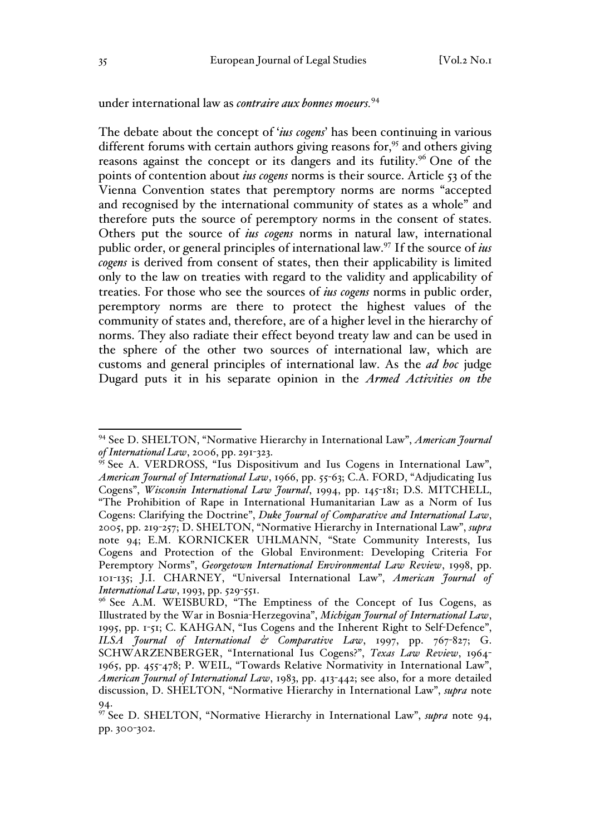## under international law as *contraire aux bonnes moeurs.*<sup>94</sup>

The debate about the concept of '*ius cogens*' has been continuing in various different forums with certain authors giving reasons for, $95$  and others giving reasons against the concept or its dangers and its futility.<sup>96</sup> One of the points of contention about *ius cogens* norms is their source. Article 53 of the Vienna Convention states that peremptory norms are norms "accepted and recognised by the international community of states as a whole" and therefore puts the source of peremptory norms in the consent of states. Others put the source of *ius cogens* norms in natural law, international public order, or general principles of international law.97 If the source of *ius cogens* is derived from consent of states, then their applicability is limited only to the law on treaties with regard to the validity and applicability of treaties. For those who see the sources of *ius cogens* norms in public order, peremptory norms are there to protect the highest values of the community of states and, therefore, are of a higher level in the hierarchy of norms. They also radiate their effect beyond treaty law and can be used in the sphere of the other two sources of international law, which are customs and general principles of international law. As the *ad hoc* judge Dugard puts it in his separate opinion in the *Armed Activities on the* 

 <sup>94</sup> See D. SHELTON, "Normative Hierarchy in International Law", *American Journal of International Law*, 2006, pp. 291-323.

<sup>&</sup>lt;sup>95</sup> See A. VERDROSS, "Ius Dispositivum and Ius Cogens in International Law", *American Journal of International Law*, 1966, pp. 55-63; C.A. FORD, "Adjudicating Ius Cogens", *Wisconsin International Law Journal*, 1994, pp. 145-181; D.S. MITCHELL, "The Prohibition of Rape in International Humanitarian Law as a Norm of Ius Cogens: Clarifying the Doctrine", *Duke Journal of Comparative and International Law*, 2005, pp. 219-257; D. SHELTON, "Normative Hierarchy in International Law", *supra* note 94; E.M. KORNICKER UHLMANN, "State Community Interests, Ius Cogens and Protection of the Global Environment: Developing Criteria For Peremptory Norms", *Georgetown International Environmental Law Review*, 1998, pp. 101-135; J.I. CHARNEY, "Universal International Law", *American Journal of International Law*, 1993, pp. 529-551.

<sup>&</sup>lt;sup>96</sup> See A.M. WEISBURD, "The Emptiness of the Concept of Ius Cogens, as Illustrated by the War in Bosnia-Herzegovina", *Michigan Journal of International Law*, 1995, pp. 1-51; C. KAHGAN, "Ius Cogens and the Inherent Right to Self-Defence", *ILSA Journal of International & Comparative Law*, 1997, pp. 767-827; G. SCHWARZENBERGER, "International Ius Cogens?", *Texas Law Review*, 1964- 1965, pp. 455-478; P. WEIL, "Towards Relative Normativity in International Law", *American Journal of International Law*, 1983, pp. 413-442; see also, for a more detailed discussion, D. SHELTON, "Normative Hierarchy in International Law", *supra* note 94.

<sup>97</sup> See D. SHELTON, "Normative Hierarchy in International Law", *supra* note 94, pp. 300-302.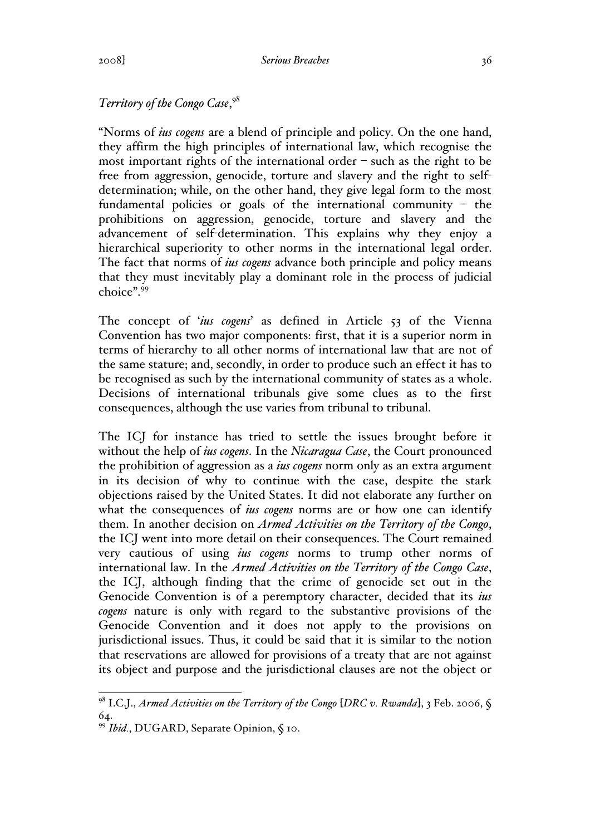# *Territory of the Congo Case*, 98

"Norms of *ius cogens* are a blend of principle and policy. On the one hand, they affirm the high principles of international law, which recognise the most important rights of the international order – such as the right to be free from aggression, genocide, torture and slavery and the right to selfdetermination; while, on the other hand, they give legal form to the most fundamental policies or goals of the international community – the prohibitions on aggression, genocide, torture and slavery and the advancement of self-determination. This explains why they enjoy a hierarchical superiority to other norms in the international legal order. The fact that norms of *ius cogens* advance both principle and policy means that they must inevitably play a dominant role in the process of judicial choice".<sup>99</sup>

The concept of '*ius cogens*' as defined in Article 53 of the Vienna Convention has two major components: first, that it is a superior norm in terms of hierarchy to all other norms of international law that are not of the same stature; and, secondly, in order to produce such an effect it has to be recognised as such by the international community of states as a whole. Decisions of international tribunals give some clues as to the first consequences, although the use varies from tribunal to tribunal.

The ICJ for instance has tried to settle the issues brought before it without the help of *ius cogens*. In the *Nicaragua Case*, the Court pronounced the prohibition of aggression as a *ius cogens* norm only as an extra argument in its decision of why to continue with the case, despite the stark objections raised by the United States. It did not elaborate any further on what the consequences of *ius cogens* norms are or how one can identify them. In another decision on *Armed Activities on the Territory of the Congo*, the ICJ went into more detail on their consequences. The Court remained very cautious of using *ius cogens* norms to trump other norms of international law. In the *Armed Activities on the Territory of the Congo Case*, the ICJ, although finding that the crime of genocide set out in the Genocide Convention is of a peremptory character, decided that its *ius cogens* nature is only with regard to the substantive provisions of the Genocide Convention and it does not apply to the provisions on jurisdictional issues. Thus, it could be said that it is similar to the notion that reservations are allowed for provisions of a treaty that are not against its object and purpose and the jurisdictional clauses are not the object or

 <sup>98</sup> I.C.J., *Armed Activities on the Territory of the Congo* [*DRC v. Rwanda*], 3 Feb. 2006, § 64.

<sup>99</sup> *Ibid.*, DUGARD, Separate Opinion, § 10.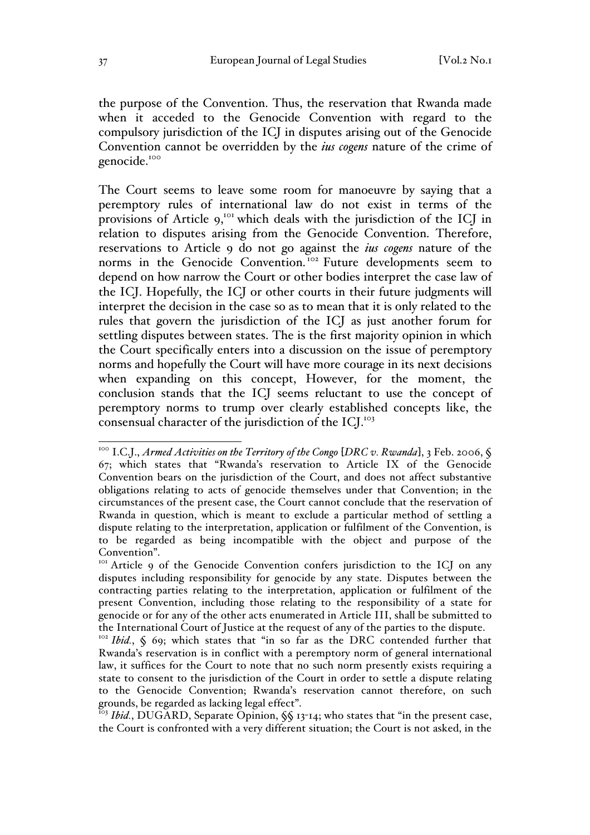the purpose of the Convention. Thus, the reservation that Rwanda made when it acceded to the Genocide Convention with regard to the compulsory jurisdiction of the ICJ in disputes arising out of the Genocide Convention cannot be overridden by the *ius cogens* nature of the crime of genocide.<sup>100</sup>

The Court seems to leave some room for manoeuvre by saying that a peremptory rules of international law do not exist in terms of the provisions of Article  $9<sub>i</sub>$ <sup>tor</sup> which deals with the jurisdiction of the ICJ in relation to disputes arising from the Genocide Convention. Therefore, reservations to Article 9 do not go against the *ius cogens* nature of the norms in the Genocide Convention.<sup>102</sup> Future developments seem to depend on how narrow the Court or other bodies interpret the case law of the ICJ. Hopefully, the ICJ or other courts in their future judgments will interpret the decision in the case so as to mean that it is only related to the rules that govern the jurisdiction of the ICJ as just another forum for settling disputes between states. The is the first majority opinion in which the Court specifically enters into a discussion on the issue of peremptory norms and hopefully the Court will have more courage in its next decisions when expanding on this concept, However, for the moment, the conclusion stands that the ICJ seems reluctant to use the concept of peremptory norms to trump over clearly established concepts like, the consensual character of the jurisdiction of the ICJ.<sup>103</sup>

<sup>&</sup>lt;sup>100</sup> I.C.J., *Armed Activities on the Territory of the Congo* [DRC v. Rwanda], 3 Feb. 2006, § 67; which states that "Rwanda's reservation to Article IX of the Genocide Convention bears on the jurisdiction of the Court, and does not affect substantive obligations relating to acts of genocide themselves under that Convention; in the circumstances of the present case, the Court cannot conclude that the reservation of Rwanda in question, which is meant to exclude a particular method of settling a dispute relating to the interpretation, application or fulfilment of the Convention, is to be regarded as being incompatible with the object and purpose of the Convention".

<sup>&</sup>lt;sup>101</sup> Article 9 of the Genocide Convention confers jurisdiction to the ICJ on any disputes including responsibility for genocide by any state. Disputes between the contracting parties relating to the interpretation, application or fulfilment of the present Convention, including those relating to the responsibility of a state for genocide or for any of the other acts enumerated in Article III, shall be submitted to the International Court of Justice at the request of any of the parties to the dispute.

<sup>&</sup>lt;sup>102</sup> Ibid., § 69; which states that "in so far as the DRC contended further that Rwanda's reservation is in conflict with a peremptory norm of general international law, it suffices for the Court to note that no such norm presently exists requiring a state to consent to the jurisdiction of the Court in order to settle a dispute relating to the Genocide Convention; Rwanda's reservation cannot therefore, on such grounds, be regarded as lacking legal effect".

<sup>103</sup> *Ibid.*, DUGARD, Separate Opinion, §§ 13-14; who states that "in the present case, the Court is confronted with a very different situation; the Court is not asked, in the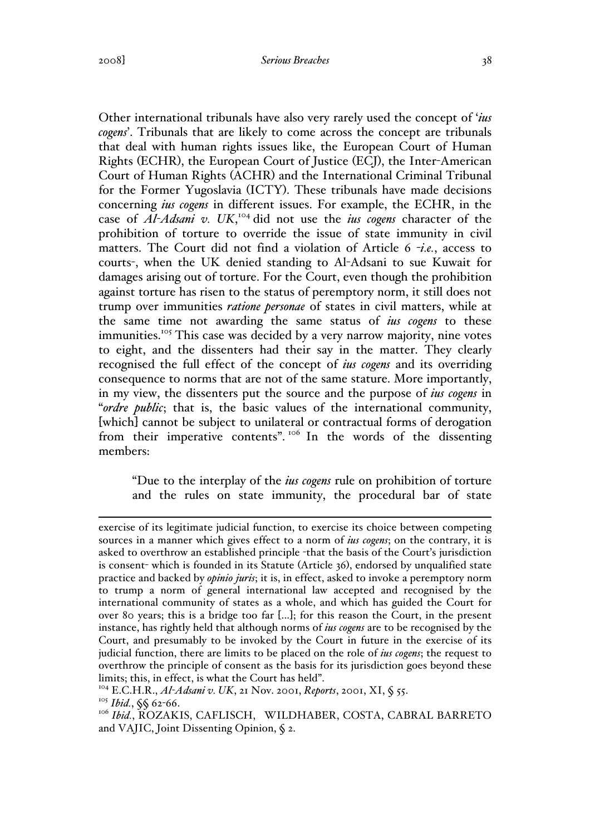Other international tribunals have also very rarely used the concept of '*ius cogens*'. Tribunals that are likely to come across the concept are tribunals that deal with human rights issues like, the European Court of Human Rights (ECHR), the European Court of Justice (ECJ), the Inter-American Court of Human Rights (ACHR) and the International Criminal Tribunal for the Former Yugoslavia (ICTY). These tribunals have made decisions concerning *ius cogens* in different issues. For example, the ECHR, in the case of *Al-Adsani v. UK*, <sup>104</sup> did not use the *ius cogens* character of the prohibition of torture to override the issue of state immunity in civil matters. The Court did not find a violation of Article 6 -*i.e.*, access to courts-, when the UK denied standing to Al-Adsani to sue Kuwait for damages arising out of torture. For the Court, even though the prohibition against torture has risen to the status of peremptory norm, it still does not trump over immunities *ratione personae* of states in civil matters, while at the same time not awarding the same status of *ius cogens* to these immunities.<sup>105</sup> This case was decided by a very narrow majority, nine votes to eight, and the dissenters had their say in the matter. They clearly recognised the full effect of the concept of *ius cogens* and its overriding consequence to norms that are not of the same stature. More importantly, in my view, the dissenters put the source and the purpose of *ius cogens* in "*ordre public*; that is, the basic values of the international community, [which] cannot be subject to unilateral or contractual forms of derogation from their imperative contents".<sup>106</sup> In the words of the dissenting members:

"Due to the interplay of the *ius cogens* rule on prohibition of torture and the rules on state immunity, the procedural bar of state

exercise of its legitimate judicial function, to exercise its choice between competing sources in a manner which gives effect to a norm of *ius cogens*; on the contrary, it is asked to overthrow an established principle -that the basis of the Court's jurisdiction is consent- which is founded in its Statute (Article 36), endorsed by unqualified state practice and backed by *opinio juris*; it is, in effect, asked to invoke a peremptory norm to trump a norm of general international law accepted and recognised by the international community of states as a whole, and which has guided the Court for over 80 years; this is a bridge too far [...]; for this reason the Court, in the present instance, has rightly held that although norms of *ius cogens* are to be recognised by the Court, and presumably to be invoked by the Court in future in the exercise of its judicial function, there are limits to be placed on the role of *ius cogens*; the request to overthrow the principle of consent as the basis for its jurisdiction goes beyond these limits; this, in effect, is what the Court has held".

<sup>104</sup> E.C.H.R., *Al-Adsani v. UK*, 21 Nov. 2001, *Reports*, 2001, XI, § 55.

<sup>105</sup> *Ibid.*, §§ 62-66.

<sup>&</sup>lt;sup>106</sup> Ibid., ROZAKIS, CAFLISCH, WILDHABER, COSTA, CABRAL BARRETO and VAJIC, Joint Dissenting Opinion, § 2.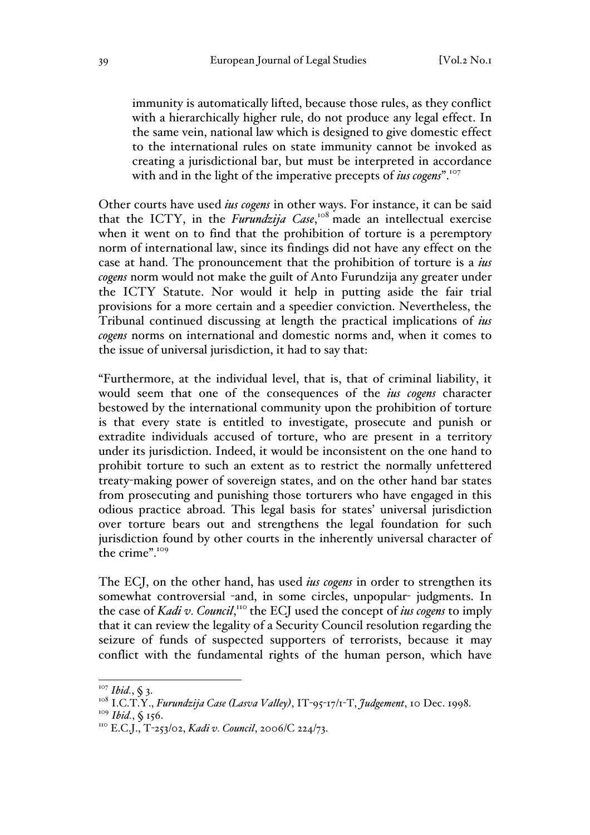immunity is automatically lifted, because those rules, as they conflict with a hierarchically higher rule, do not produce any legal effect. In the same vein, national law which is designed to give domestic effect to the international rules on state immunity cannot be invoked as creating a jurisdictional bar, but must be interpreted in accordance with and in the light of the imperative precepts of *ius cogens*".<sup>107</sup>

Other courts have used *ius cogens* in other ways. For instance, it can be said that the ICTY, in the *Furundzija Case*,<sup>108</sup> made an intellectual exercise when it went on to find that the prohibition of torture is a peremptory norm of international law, since its findings did not have any effect on the case at hand. The pronouncement that the prohibition of torture is a *ius cogens* norm would not make the guilt of Anto Furundzija any greater under the ICTY Statute. Nor would it help in putting aside the fair trial provisions for a more certain and a speedier conviction. Nevertheless, the Tribunal continued discussing at length the practical implications of *ius cogens* norms on international and domestic norms and, when it comes to the issue of universal jurisdiction, it had to say that:

"Furthermore, at the individual level, that is, that of criminal liability, it would seem that one of the consequences of the *ius cogens* character bestowed by the international community upon the prohibition of torture is that every state is entitled to investigate, prosecute and punish or extradite individuals accused of torture, who are present in a territory under its jurisdiction. Indeed, it would be inconsistent on the one hand to prohibit torture to such an extent as to restrict the normally unfettered treaty-making power of sovereign states, and on the other hand bar states from prosecuting and punishing those torturers who have engaged in this odious practice abroad. This legal basis for states' universal jurisdiction over torture bears out and strengthens the legal foundation for such jurisdiction found by other courts in the inherently universal character of the crime".<sup>109</sup>

The ECJ, on the other hand, has used *ius cogens* in order to strengthen its somewhat controversial -and, in some circles, unpopular- judgments. In the case of *Kadi v. Council*, <sup>110</sup> the ECJ used the concept of *ius cogens* to imply that it can review the legality of a Security Council resolution regarding the seizure of funds of suspected supporters of terrorists, because it may conflict with the fundamental rights of the human person, which have

<sup>&</sup>lt;sup>107</sup> Ibid., § 3.<br><sup>108</sup> I.C.T.Y., *Furundzija Case (Lasva Valley)*, IT-95-17/1-T, *Judgement*, 10 Dec. 1998.<br><sup>109</sup> Ibid., § 156.

<sup>&</sup>lt;sup>110</sup> E.C.J., T-253/02, *Kadi v. Council*, 2006/C 224/73.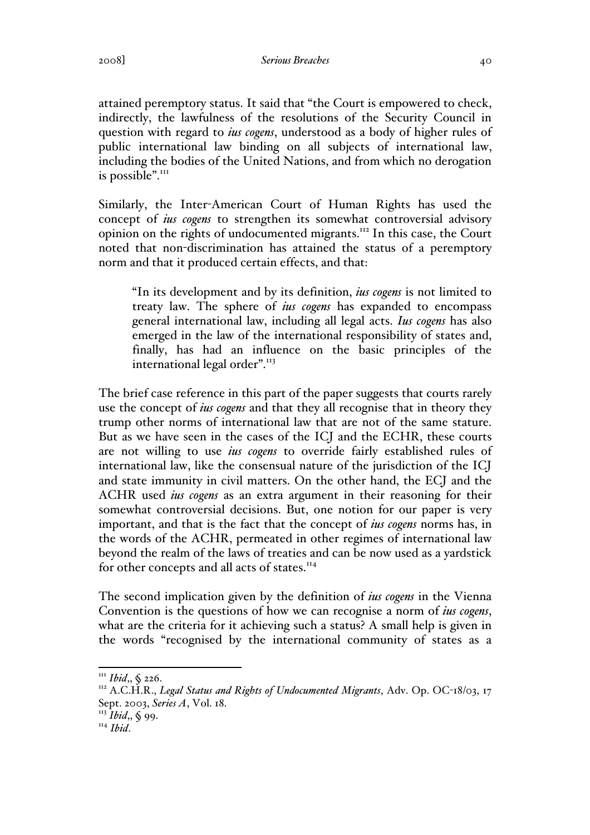attained peremptory status. It said that "the Court is empowered to check, indirectly, the lawfulness of the resolutions of the Security Council in question with regard to *ius cogens*, understood as a body of higher rules of public international law binding on all subjects of international law, including the bodies of the United Nations, and from which no derogation is possible".<sup>111</sup>

Similarly, the Inter-American Court of Human Rights has used the concept of *ius cogens* to strengthen its somewhat controversial advisory opinion on the rights of undocumented migrants.<sup>112</sup> In this case, the Court noted that non-discrimination has attained the status of a peremptory norm and that it produced certain effects, and that:

"In its development and by its definition, *ius cogens* is not limited to treaty law. The sphere of *ius cogens* has expanded to encompass general international law, including all legal acts. *Ius cogens* has also emerged in the law of the international responsibility of states and, finally, has had an influence on the basic principles of the international legal order".<sup>113</sup>

The brief case reference in this part of the paper suggests that courts rarely use the concept of *ius cogens* and that they all recognise that in theory they trump other norms of international law that are not of the same stature. But as we have seen in the cases of the ICJ and the ECHR, these courts are not willing to use *ius cogens* to override fairly established rules of international law, like the consensual nature of the jurisdiction of the ICJ and state immunity in civil matters. On the other hand, the ECJ and the ACHR used *ius cogens* as an extra argument in their reasoning for their somewhat controversial decisions. But, one notion for our paper is very important, and that is the fact that the concept of *ius cogens* norms has, in the words of the ACHR, permeated in other regimes of international law beyond the realm of the laws of treaties and can be now used as a yardstick for other concepts and all acts of states.<sup>114</sup>

The second implication given by the definition of *ius cogens* in the Vienna Convention is the questions of how we can recognise a norm of *ius cogens*, what are the criteria for it achieving such a status? A small help is given in the words "recognised by the international community of states as a

<sup>&</sup>lt;sup>111</sup> Ibid., § 226.<br><sup>112</sup> A.C.H.R., *Legal Status and Rights of Undocumented Migrants*, Adv. Op. OC-18/03, 17 Sept. 2003, *Series A*, Vol. 18.

<sup>113</sup> *Ibid*,, § 99.

<sup>114</sup> *Ibid*.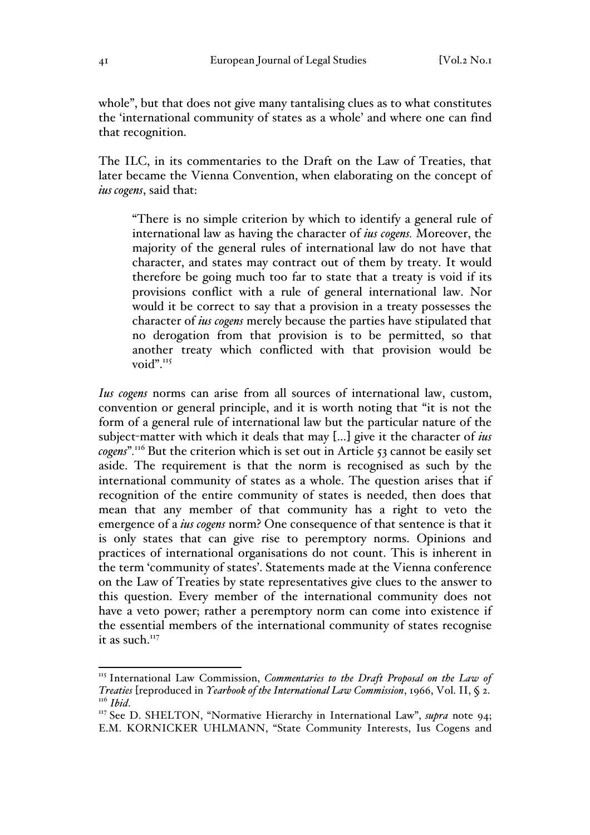whole", but that does not give many tantalising clues as to what constitutes the 'international community of states as a whole' and where one can find that recognition.

The ILC, in its commentaries to the Draft on the Law of Treaties, that later became the Vienna Convention, when elaborating on the concept of *ius cogens*, said that:

"There is no simple criterion by which to identify a general rule of international law as having the character of *ius cogens.* Moreover, the majority of the general rules of international law do not have that character, and states may contract out of them by treaty. It would therefore be going much too far to state that a treaty is void if its provisions conflict with a rule of general international law. Nor would it be correct to say that a provision in a treaty possesses the character of *ius cogens* merely because the parties have stipulated that no derogation from that provision is to be permitted, so that another treaty which conflicted with that provision would be void".<sup>115</sup>

*Ius cogens* norms can arise from all sources of international law, custom, convention or general principle, and it is worth noting that "it is not the form of a general rule of international law but the particular nature of the subject-matter with which it deals that may […] give it the character of *ius cogens*"*.* <sup>116</sup> But the criterion which is set out in Article 53 cannot be easily set aside. The requirement is that the norm is recognised as such by the international community of states as a whole. The question arises that if recognition of the entire community of states is needed, then does that mean that any member of that community has a right to veto the emergence of a *ius cogens* norm? One consequence of that sentence is that it is only states that can give rise to peremptory norms. Opinions and practices of international organisations do not count. This is inherent in the term 'community of states'. Statements made at the Vienna conference on the Law of Treaties by state representatives give clues to the answer to this question. Every member of the international community does not have a veto power; rather a peremptory norm can come into existence if the essential members of the international community of states recognise it as such. $117$ 

<sup>&</sup>lt;sup>115</sup> International Law Commission, *Commentaries to the Draft Proposal on the Law of Treaties* [reproduced in *Yearbook of the International Law Commission*, 1966, Vol. II, § 2.<br><sup>116</sup> *Ibid*. 117 See D. SHELTON, "Normative Hierarchy in International Law", *supra* note 94;

E.M. KORNICKER UHLMANN, "State Community Interests, Ius Cogens and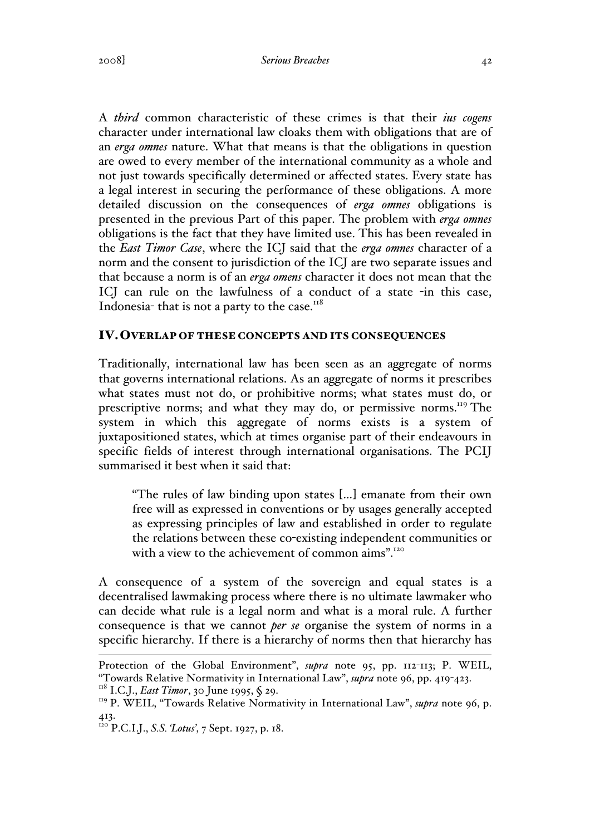#### 2008] *Serious Breaches* 42

A *third* common characteristic of these crimes is that their *ius cogens*  character under international law cloaks them with obligations that are of an *erga omnes* nature. What that means is that the obligations in question are owed to every member of the international community as a whole and not just towards specifically determined or affected states. Every state has a legal interest in securing the performance of these obligations. A more detailed discussion on the consequences of *erga omnes* obligations is presented in the previous Part of this paper. The problem with *erga omnes* obligations is the fact that they have limited use. This has been revealed in the *East Timor Case*, where the ICJ said that the *erga omnes* character of a norm and the consent to jurisdiction of the ICJ are two separate issues and that because a norm is of an *erga omens* character it does not mean that the ICJ can rule on the lawfulness of a conduct of a state -in this case, Indonesia- that is not a party to the case. $118$ 

## IV.OVERLAP OF THESE CONCEPTS AND ITS CONSEQUENCES

Traditionally, international law has been seen as an aggregate of norms that governs international relations. As an aggregate of norms it prescribes what states must not do, or prohibitive norms; what states must do, or prescriptive norms; and what they may do, or permissive norms.<sup>119</sup> The system in which this aggregate of norms exists is a system of juxtapositioned states, which at times organise part of their endeavours in specific fields of interest through international organisations. The PCIJ summarised it best when it said that:

"The rules of law binding upon states […] emanate from their own free will as expressed in conventions or by usages generally accepted as expressing principles of law and established in order to regulate the relations between these co-existing independent communities or with a view to the achievement of common aims".<sup>120</sup>

A consequence of a system of the sovereign and equal states is a decentralised lawmaking process where there is no ultimate lawmaker who can decide what rule is a legal norm and what is a moral rule. A further consequence is that we cannot *per se* organise the system of norms in a specific hierarchy. If there is a hierarchy of norms then that hierarchy has

Protection of the Global Environment", *supra* note 95, pp. 112-113; P. WEIL, "Towards Relative Normativity in International Law", *supra* note 96, pp. 419-423.

<sup>&</sup>lt;sup>118</sup> I.C.J., *East Timor*, 30 June 1995, § 29.

<sup>&</sup>lt;sup>119</sup> P. WEIL, "Towards Relative Normativity in International Law", *supra* note 96, p. 413.

<sup>120</sup> P.C.I.J., *S.S. 'Lotus'*, 7 Sept. 1927, p. 18.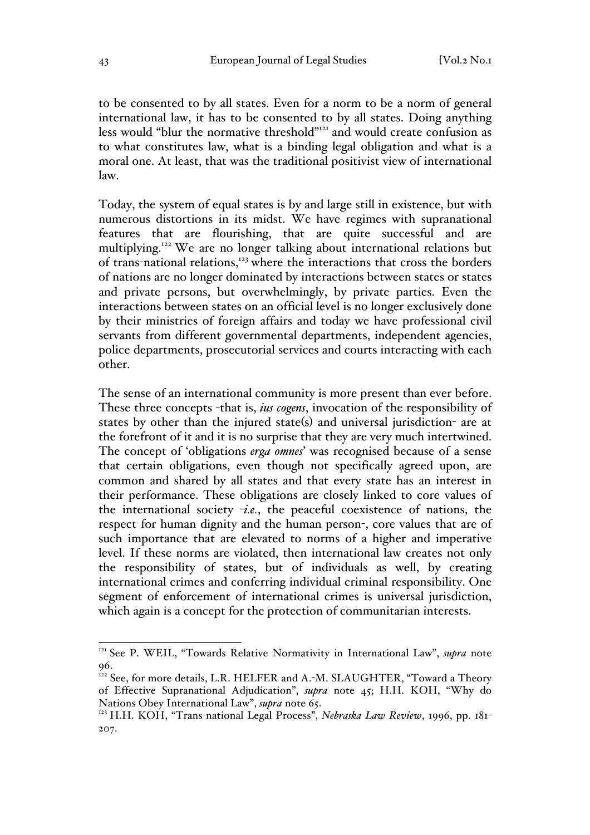to be consented to by all states. Even for a norm to be a norm of general international law, it has to be consented to by all states. Doing anything less would "blur the normative threshold"<sup>121</sup> and would create confusion as to what constitutes law, what is a binding legal obligation and what is a moral one. At least, that was the traditional positivist view of international law.

Today, the system of equal states is by and large still in existence, but with numerous distortions in its midst. We have regimes with supranational features that are flourishing, that are quite successful and are multiplying.122 We are no longer talking about international relations but of trans-national relations,<sup>123</sup> where the interactions that cross the borders of nations are no longer dominated by interactions between states or states and private persons, but overwhelmingly, by private parties. Even the interactions between states on an official level is no longer exclusively done by their ministries of foreign affairs and today we have professional civil servants from different governmental departments, independent agencies, police departments, prosecutorial services and courts interacting with each other.

The sense of an international community is more present than ever before. These three concepts -that is, *ius cogens*, invocation of the responsibility of states by other than the injured state(s) and universal jurisdiction- are at the forefront of it and it is no surprise that they are very much intertwined. The concept of 'obligations *erga omnes*' was recognised because of a sense that certain obligations, even though not specifically agreed upon, are common and shared by all states and that every state has an interest in their performance. These obligations are closely linked to core values of the international society -*i.e.*, the peaceful coexistence of nations, the respect for human dignity and the human person-, core values that are of such importance that are elevated to norms of a higher and imperative level. If these norms are violated, then international law creates not only the responsibility of states, but of individuals as well, by creating international crimes and conferring individual criminal responsibility. One segment of enforcement of international crimes is universal jurisdiction, which again is a concept for the protection of communitarian interests.

<sup>&</sup>lt;sup>121</sup> See P. WEIL, "Towards Relative Normativity in International Law", *supra* note 96.

<sup>&</sup>lt;sup>122</sup> See, for more details, L.R. HELFER and A.-M. SLAUGHTER, "Toward a Theory of Effective Supranational Adjudication", *supra* note 45; H.H. KOH, "Why do Nations Obey International Law", *supra* note 65.

<sup>&</sup>lt;sup>123</sup> H.H. KOH, "Trans-national Legal Process", *Nebraska Law Review*, 1996, pp. 181-207.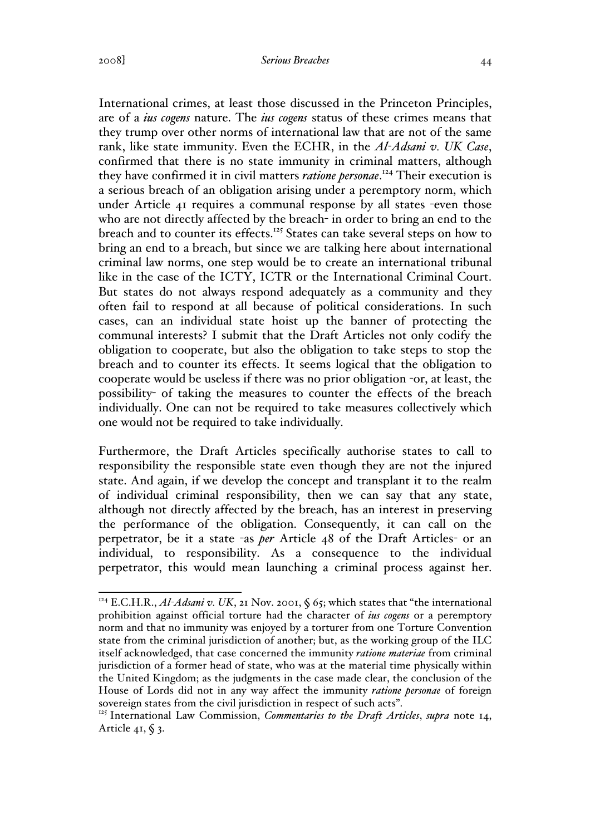International crimes, at least those discussed in the Princeton Principles, are of a *ius cogens* nature. The *ius cogens* status of these crimes means that they trump over other norms of international law that are not of the same rank, like state immunity. Even the ECHR, in the *Al-Adsani v. UK Case*, confirmed that there is no state immunity in criminal matters, although they have confirmed it in civil matters *ratione personae*. <sup>124</sup> Their execution is a serious breach of an obligation arising under a peremptory norm, which under Article 41 requires a communal response by all states -even those who are not directly affected by the breach- in order to bring an end to the breach and to counter its effects.<sup>125</sup> States can take several steps on how to bring an end to a breach, but since we are talking here about international criminal law norms, one step would be to create an international tribunal like in the case of the ICTY, ICTR or the International Criminal Court. But states do not always respond adequately as a community and they often fail to respond at all because of political considerations. In such cases, can an individual state hoist up the banner of protecting the communal interests? I submit that the Draft Articles not only codify the obligation to cooperate, but also the obligation to take steps to stop the breach and to counter its effects. It seems logical that the obligation to cooperate would be useless if there was no prior obligation -or, at least, the possibility- of taking the measures to counter the effects of the breach individually. One can not be required to take measures collectively which one would not be required to take individually.

Furthermore, the Draft Articles specifically authorise states to call to responsibility the responsible state even though they are not the injured state. And again, if we develop the concept and transplant it to the realm of individual criminal responsibility, then we can say that any state, although not directly affected by the breach, has an interest in preserving the performance of the obligation. Consequently, it can call on the perpetrator, be it a state -as *per* Article 48 of the Draft Articles- or an individual, to responsibility. As a consequence to the individual perpetrator, this would mean launching a criminal process against her.

<sup>&</sup>lt;sup>124</sup> E.C.H.R., *Al-Adsani v. UK*, 21 Nov. 2001,  $\zeta$  65; which states that "the international prohibition against official torture had the character of *ius cogens* or a peremptory norm and that no immunity was enjoyed by a torturer from one Torture Convention state from the criminal jurisdiction of another; but, as the working group of the ILC itself acknowledged, that case concerned the immunity *ratione materiae* from criminal jurisdiction of a former head of state, who was at the material time physically within the United Kingdom; as the judgments in the case made clear, the conclusion of the House of Lords did not in any way affect the immunity *ratione personae* of foreign sovereign states from the civil jurisdiction in respect of such acts".

<sup>125</sup> International Law Commission, *Commentaries to the Draft Articles*, *supra* note 14, Article 41,  $\S$  3.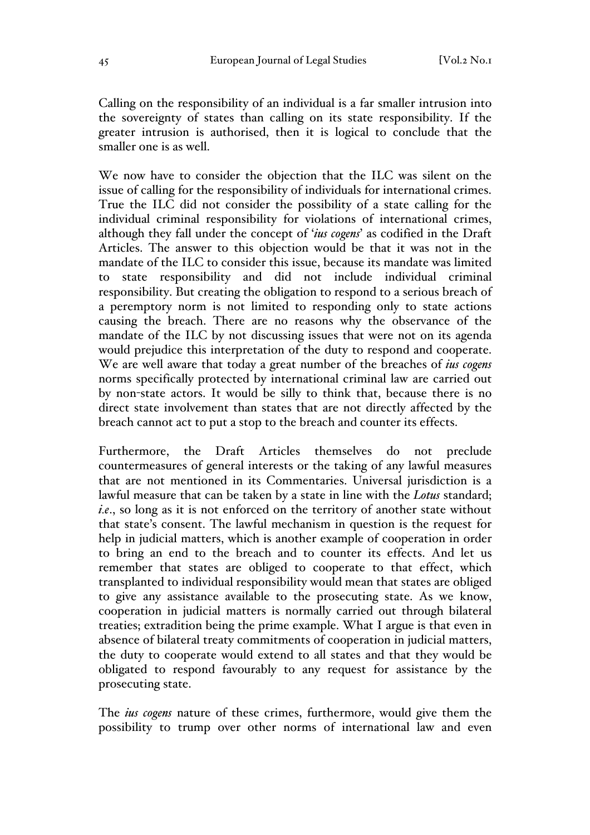Calling on the responsibility of an individual is a far smaller intrusion into the sovereignty of states than calling on its state responsibility. If the greater intrusion is authorised, then it is logical to conclude that the smaller one is as well.

We now have to consider the objection that the ILC was silent on the issue of calling for the responsibility of individuals for international crimes. True the ILC did not consider the possibility of a state calling for the individual criminal responsibility for violations of international crimes, although they fall under the concept of '*ius cogens*' as codified in the Draft Articles. The answer to this objection would be that it was not in the mandate of the ILC to consider this issue, because its mandate was limited to state responsibility and did not include individual criminal responsibility. But creating the obligation to respond to a serious breach of a peremptory norm is not limited to responding only to state actions causing the breach. There are no reasons why the observance of the mandate of the ILC by not discussing issues that were not on its agenda would prejudice this interpretation of the duty to respond and cooperate. We are well aware that today a great number of the breaches of *ius cogens*  norms specifically protected by international criminal law are carried out by non-state actors. It would be silly to think that, because there is no direct state involvement than states that are not directly affected by the breach cannot act to put a stop to the breach and counter its effects.

Furthermore, the Draft Articles themselves do not preclude countermeasures of general interests or the taking of any lawful measures that are not mentioned in its Commentaries. Universal jurisdiction is a lawful measure that can be taken by a state in line with the *Lotus* standard; *i.e*., so long as it is not enforced on the territory of another state without that state's consent. The lawful mechanism in question is the request for help in judicial matters, which is another example of cooperation in order to bring an end to the breach and to counter its effects. And let us remember that states are obliged to cooperate to that effect, which transplanted to individual responsibility would mean that states are obliged to give any assistance available to the prosecuting state. As we know, cooperation in judicial matters is normally carried out through bilateral treaties; extradition being the prime example. What I argue is that even in absence of bilateral treaty commitments of cooperation in judicial matters, the duty to cooperate would extend to all states and that they would be obligated to respond favourably to any request for assistance by the prosecuting state.

The *ius cogens* nature of these crimes, furthermore, would give them the possibility to trump over other norms of international law and even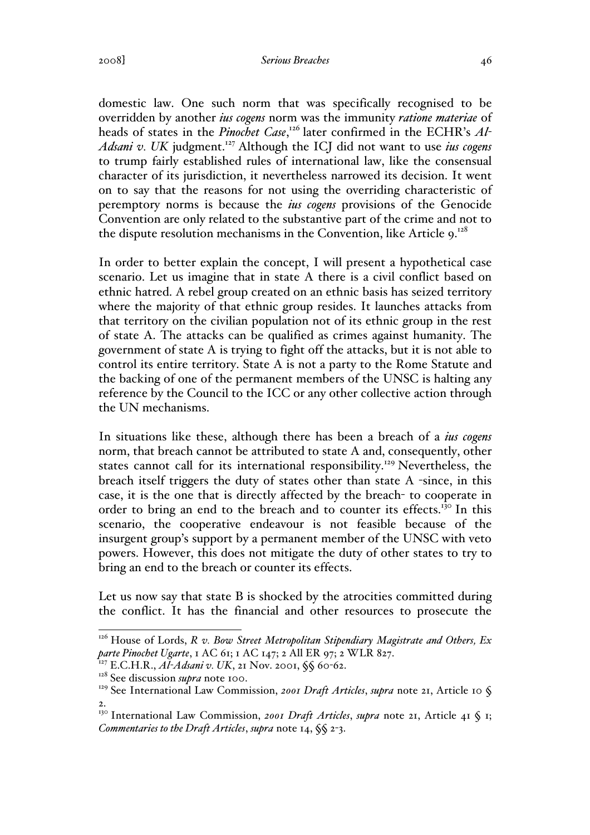#### 2008] *Serious Breaches* 46

domestic law. One such norm that was specifically recognised to be overridden by another *ius cogens* norm was the immunity *ratione materiae* of heads of states in the *Pinochet Case*,<sup>126</sup> later confirmed in the ECHR's *Al*<sup>-</sup> *Adsani v. UK* judgment.<sup>127</sup> Although the ICJ did not want to use *ius cogens*  to trump fairly established rules of international law, like the consensual character of its jurisdiction, it nevertheless narrowed its decision. It went on to say that the reasons for not using the overriding characteristic of peremptory norms is because the *ius cogens* provisions of the Genocide Convention are only related to the substantive part of the crime and not to the dispute resolution mechanisms in the Convention, like Article 9.<sup>128</sup>

In order to better explain the concept, I will present a hypothetical case scenario. Let us imagine that in state A there is a civil conflict based on ethnic hatred. A rebel group created on an ethnic basis has seized territory where the majority of that ethnic group resides. It launches attacks from that territory on the civilian population not of its ethnic group in the rest of state A. The attacks can be qualified as crimes against humanity. The government of state A is trying to fight off the attacks, but it is not able to control its entire territory. State A is not a party to the Rome Statute and the backing of one of the permanent members of the UNSC is halting any reference by the Council to the ICC or any other collective action through the UN mechanisms.

In situations like these, although there has been a breach of a *ius cogens*  norm, that breach cannot be attributed to state A and, consequently, other states cannot call for its international responsibility.<sup>129</sup> Nevertheless, the breach itself triggers the duty of states other than state A -since, in this case, it is the one that is directly affected by the breach- to cooperate in order to bring an end to the breach and to counter its effects.<sup>130</sup> In this scenario, the cooperative endeavour is not feasible because of the insurgent group's support by a permanent member of the UNSC with veto powers. However, this does not mitigate the duty of other states to try to bring an end to the breach or counter its effects.

Let us now say that state B is shocked by the atrocities committed during the conflict. It has the financial and other resources to prosecute the

<sup>&</sup>lt;sup>126</sup> House of Lords, *R v. Bow Street Metropolitan Stipendiary Magistrate and Others, Ex parte Pinochet Ugarte*, 1 AC 61; 1 AC 147; 2 All ER 97; 2 WLR 827.

<sup>127</sup> E.C.H.R., *Al-Adsani v. UK*, 21 Nov. 2001, §§ 60-62.

<sup>&</sup>lt;sup>128</sup> See discussion *supra* note 100.

<sup>&</sup>lt;sup>129</sup> See International Law Commission, *2001 Draft Articles*, *supra* note 21, Article 10 § 2.

<sup>&</sup>lt;sup>130</sup> International Law Commission, 2001 Draft Articles, supra note 21, Article 41 § 1; *Commentaries to the Draft Articles*, *supra* note 14, §§ 2-3.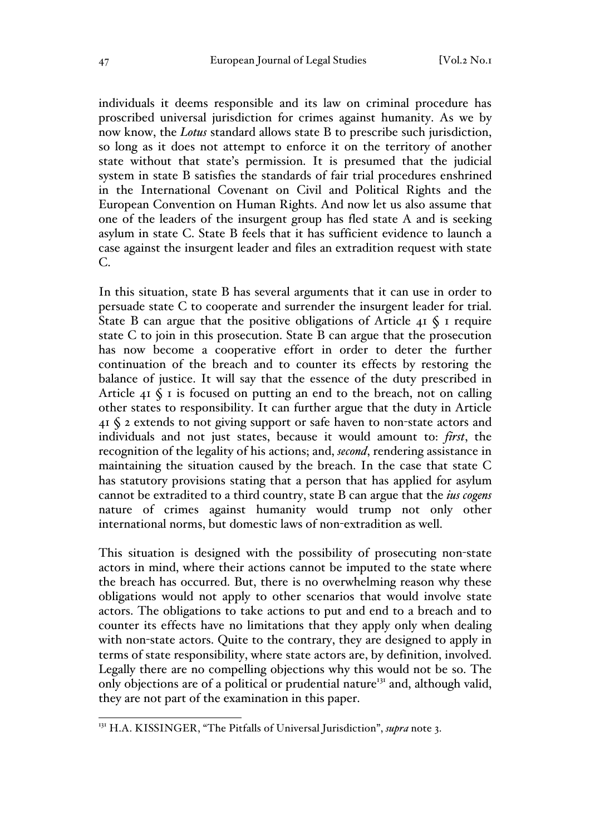individuals it deems responsible and its law on criminal procedure has proscribed universal jurisdiction for crimes against humanity. As we by now know, the *Lotus* standard allows state B to prescribe such jurisdiction, so long as it does not attempt to enforce it on the territory of another state without that state's permission. It is presumed that the judicial system in state B satisfies the standards of fair trial procedures enshrined in the International Covenant on Civil and Political Rights and the European Convention on Human Rights. And now let us also assume that one of the leaders of the insurgent group has fled state A and is seeking asylum in state C. State B feels that it has sufficient evidence to launch a case against the insurgent leader and files an extradition request with state C.

In this situation, state B has several arguments that it can use in order to persuade state C to cooperate and surrender the insurgent leader for trial. State B can argue that the positive obligations of Article  $4I \S I$  require state C to join in this prosecution. State B can argue that the prosecution has now become a cooperative effort in order to deter the further continuation of the breach and to counter its effects by restoring the balance of justice. It will say that the essence of the duty prescribed in Article  $41 \text{ }\$$  is focused on putting an end to the breach, not on calling other states to responsibility. It can further argue that the duty in Article 41 § 2 extends to not giving support or safe haven to non-state actors and individuals and not just states, because it would amount to: *first*, the recognition of the legality of his actions; and, *second*, rendering assistance in maintaining the situation caused by the breach. In the case that state C has statutory provisions stating that a person that has applied for asylum cannot be extradited to a third country, state B can argue that the *ius cogens*  nature of crimes against humanity would trump not only other international norms, but domestic laws of non-extradition as well.

This situation is designed with the possibility of prosecuting non-state actors in mind, where their actions cannot be imputed to the state where the breach has occurred. But, there is no overwhelming reason why these obligations would not apply to other scenarios that would involve state actors. The obligations to take actions to put and end to a breach and to counter its effects have no limitations that they apply only when dealing with non-state actors. Quite to the contrary, they are designed to apply in terms of state responsibility, where state actors are, by definition, involved. Legally there are no compelling objections why this would not be so. The only objections are of a political or prudential nature<sup>131</sup> and, although valid, they are not part of the examination in this paper.

 <sup>131</sup> H.A. KISSINGER, "The Pitfalls of Universal Jurisdiction", *supra* note 3.